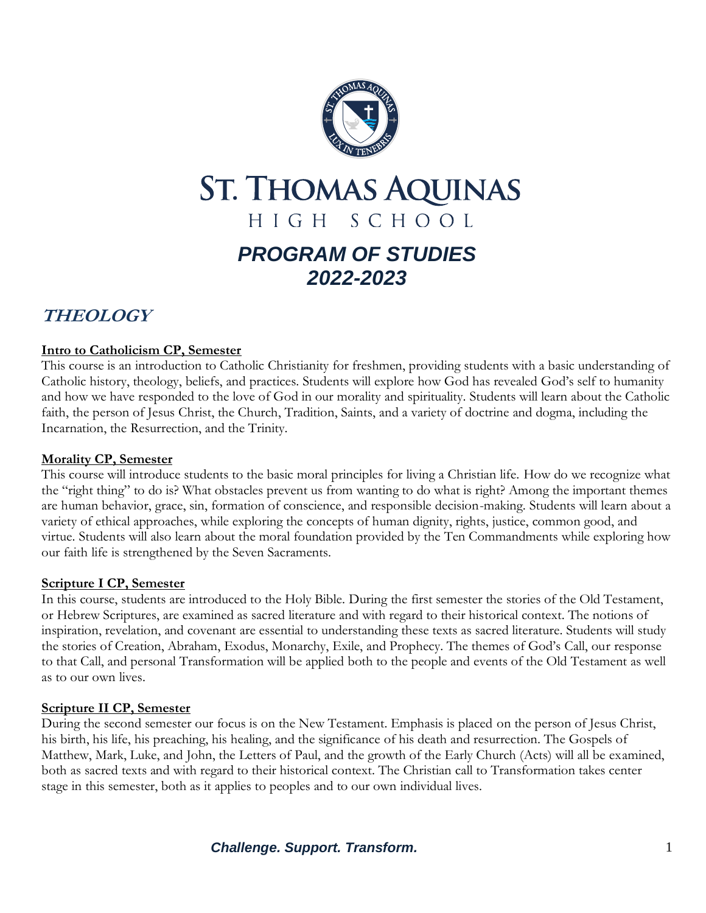

# **ST. THOMAS AQUINAS** HIGH SCHOOL *PROGRAM OF STUDIES 2022-2023*

# **THEOLOGY**

### **Intro to Catholicism CP, Semester**

This course is an introduction to Catholic Christianity for freshmen, providing students with a basic understanding of Catholic history, theology, beliefs, and practices. Students will explore how God has revealed God's self to humanity and how we have responded to the love of God in our morality and spirituality. Students will learn about the Catholic faith, the person of Jesus Christ, the Church, Tradition, Saints, and a variety of doctrine and dogma, including the Incarnation, the Resurrection, and the Trinity.

#### **Morality CP, Semester**

This course will introduce students to the basic moral principles for living a Christian life. How do we recognize what the "right thing" to do is? What obstacles prevent us from wanting to do what is right? Among the important themes are human behavior, grace, sin, formation of conscience, and responsible decision-making. Students will learn about a variety of ethical approaches, while exploring the concepts of human dignity, rights, justice, common good, and virtue. Students will also learn about the moral foundation provided by the Ten Commandments while exploring how our faith life is strengthened by the Seven Sacraments.

#### **Scripture I CP, Semester**

In this course, students are introduced to the Holy Bible. During the first semester the stories of the Old Testament, or Hebrew Scriptures, are examined as sacred literature and with regard to their historical context. The notions of inspiration, revelation, and covenant are essential to understanding these texts as sacred literature. Students will study the stories of Creation, Abraham, Exodus, Monarchy, Exile, and Prophecy. The themes of God's Call, our response to that Call, and personal Transformation will be applied both to the people and events of the Old Testament as well as to our own lives.

# **Scripture II CP, Semester**

During the second semester our focus is on the New Testament. Emphasis is placed on the person of Jesus Christ, his birth, his life, his preaching, his healing, and the significance of his death and resurrection. The Gospels of Matthew, Mark, Luke, and John, the Letters of Paul, and the growth of the Early Church (Acts) will all be examined, both as sacred texts and with regard to their historical context. The Christian call to Transformation takes center stage in this semester, both as it applies to peoples and to our own individual lives.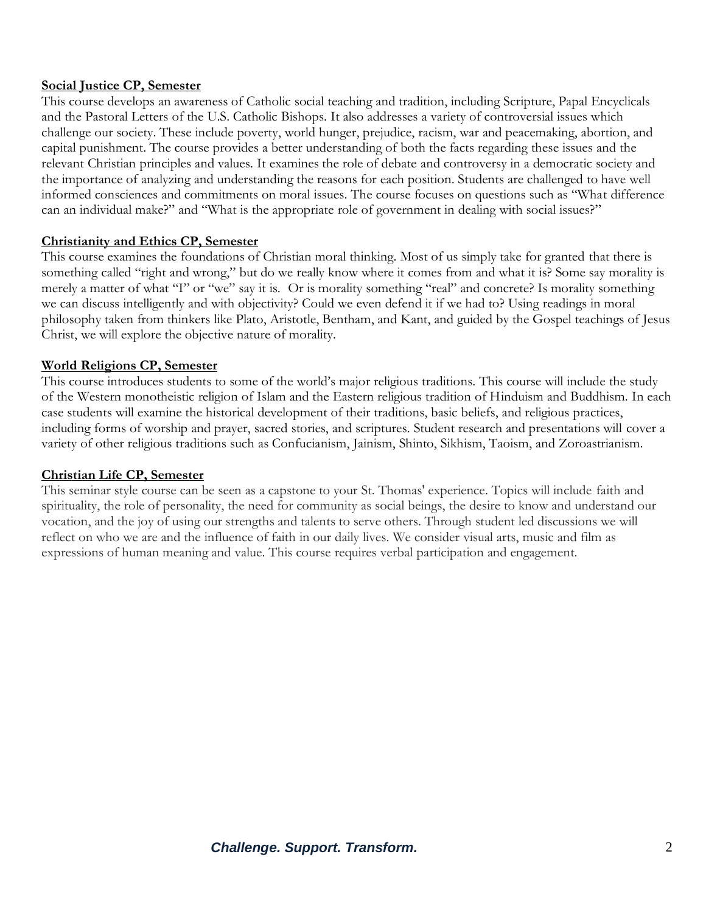#### **Social Justice CP, Semester**

This course develops an awareness of Catholic social teaching and tradition, including Scripture, Papal Encyclicals and the Pastoral Letters of the U.S. Catholic Bishops. It also addresses a variety of controversial issues which challenge our society. These include poverty, world hunger, prejudice, racism, war and peacemaking, abortion, and capital punishment. The course provides a better understanding of both the facts regarding these issues and the relevant Christian principles and values. It examines the role of debate and controversy in a democratic society and the importance of analyzing and understanding the reasons for each position. Students are challenged to have well informed consciences and commitments on moral issues. The course focuses on questions such as "What difference can an individual make?" and "What is the appropriate role of government in dealing with social issues?"

#### **Christianity and Ethics CP, Semester**

This course examines the foundations of Christian moral thinking. Most of us simply take for granted that there is something called "right and wrong," but do we really know where it comes from and what it is? Some say morality is merely a matter of what "I" or "we" say it is. Or is morality something "real" and concrete? Is morality something we can discuss intelligently and with objectivity? Could we even defend it if we had to? Using readings in moral philosophy taken from thinkers like Plato, Aristotle, Bentham, and Kant, and guided by the Gospel teachings of Jesus Christ, we will explore the objective nature of morality.

#### **World Religions CP, Semester**

This course introduces students to some of the world's major religious traditions. This course will include the study of the Western monotheistic religion of Islam and the Eastern religious tradition of Hinduism and Buddhism. In each case students will examine the historical development of their traditions, basic beliefs, and religious practices, including forms of worship and prayer, sacred stories, and scriptures. Student research and presentations will cover a variety of other religious traditions such as Confucianism, Jainism, Shinto, Sikhism, Taoism, and Zoroastrianism.

#### **Christian Life CP, Semester**

This seminar style course can be seen as a capstone to your St. Thomas' experience. Topics will include faith and spirituality, the role of personality, the need for community as social beings, the desire to know and understand our vocation, and the joy of using our strengths and talents to serve others. Through student led discussions we will reflect on who we are and the influence of faith in our daily lives. We consider visual arts, music and film as expressions of human meaning and value. This course requires verbal participation and engagement.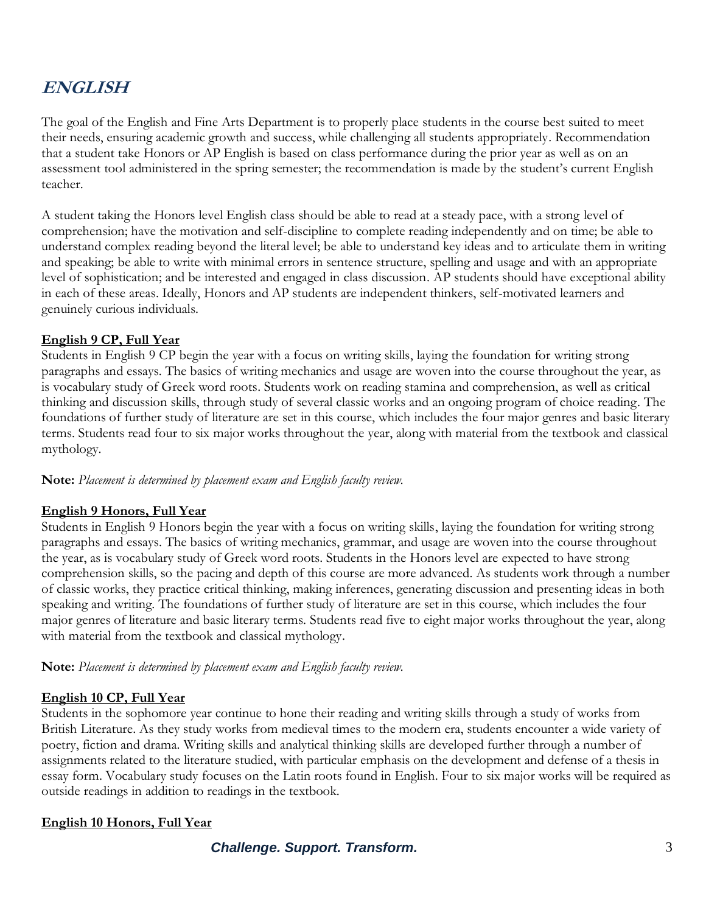# **ENGLISH**

The goal of the English and Fine Arts Department is to properly place students in the course best suited to meet their needs, ensuring academic growth and success, while challenging all students appropriately. Recommendation that a student take Honors or AP English is based on class performance during the prior year as well as on an assessment tool administered in the spring semester; the recommendation is made by the student's current English teacher.

A student taking the Honors level English class should be able to read at a steady pace, with a strong level of comprehension; have the motivation and self-discipline to complete reading independently and on time; be able to understand complex reading beyond the literal level; be able to understand key ideas and to articulate them in writing and speaking; be able to write with minimal errors in sentence structure, spelling and usage and with an appropriate level of sophistication; and be interested and engaged in class discussion. AP students should have exceptional ability in each of these areas. Ideally, Honors and AP students are independent thinkers, self-motivated learners and genuinely curious individuals.

#### **English 9 CP, Full Year**

Students in English 9 CP begin the year with a focus on writing skills, laying the foundation for writing strong paragraphs and essays. The basics of writing mechanics and usage are woven into the course throughout the year, as is vocabulary study of Greek word roots. Students work on reading stamina and comprehension, as well as critical thinking and discussion skills, through study of several classic works and an ongoing program of choice reading. The foundations of further study of literature are set in this course, which includes the four major genres and basic literary terms. Students read four to six major works throughout the year, along with material from the textbook and classical mythology.

**Note:** *Placement is determined by placement exam and English faculty review.*

# **English 9 Honors, Full Year**

Students in English 9 Honors begin the year with a focus on writing skills, laying the foundation for writing strong paragraphs and essays. The basics of writing mechanics, grammar, and usage are woven into the course throughout the year, as is vocabulary study of Greek word roots. Students in the Honors level are expected to have strong comprehension skills, so the pacing and depth of this course are more advanced. As students work through a number of classic works, they practice critical thinking, making inferences, generating discussion and presenting ideas in both speaking and writing. The foundations of further study of literature are set in this course, which includes the four major genres of literature and basic literary terms. Students read five to eight major works throughout the year, along with material from the textbook and classical mythology.

**Note:** *Placement is determined by placement exam and English faculty review.*

#### **English 10 CP, Full Year**

Students in the sophomore year continue to hone their reading and writing skills through a study of works from British Literature. As they study works from medieval times to the modern era, students encounter a wide variety of poetry, fiction and drama. Writing skills and analytical thinking skills are developed further through a number of assignments related to the literature studied, with particular emphasis on the development and defense of a thesis in essay form. Vocabulary study focuses on the Latin roots found in English. Four to six major works will be required as outside readings in addition to readings in the textbook.

#### **English 10 Honors, Full Year**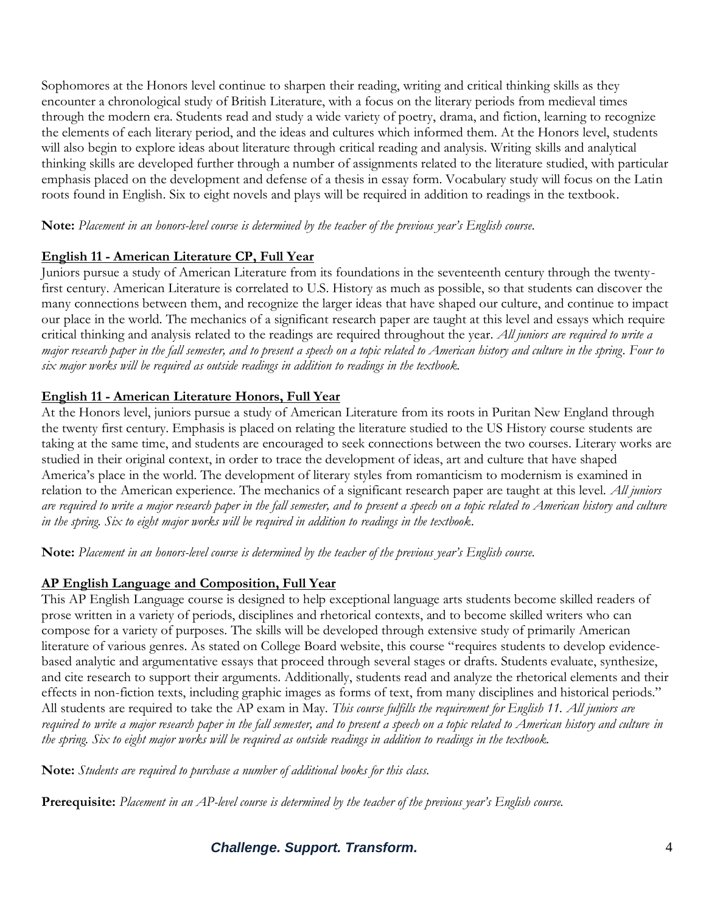Sophomores at the Honors level continue to sharpen their reading, writing and critical thinking skills as they encounter a chronological study of British Literature, with a focus on the literary periods from medieval times through the modern era. Students read and study a wide variety of poetry, drama, and fiction, learning to recognize the elements of each literary period, and the ideas and cultures which informed them. At the Honors level, students will also begin to explore ideas about literature through critical reading and analysis. Writing skills and analytical thinking skills are developed further through a number of assignments related to the literature studied, with particular emphasis placed on the development and defense of a thesis in essay form. Vocabulary study will focus on the Latin roots found in English. Six to eight novels and plays will be required in addition to readings in the textbook.

**Note:** *Placement in an honors-level course is determined by the teacher of the previous year's English course.*

### **English 11 - American Literature CP, Full Year**

Juniors pursue a study of American Literature from its foundations in the seventeenth century through the twentyfirst century. American Literature is correlated to U.S. History as much as possible, so that students can discover the many connections between them, and recognize the larger ideas that have shaped our culture, and continue to impact our place in the world. The mechanics of a significant research paper are taught at this level and essays which require critical thinking and analysis related to the readings are required throughout the year. *All juniors are required to write a major research paper in the fall semester, and to present a speech on a topic related to American history and culture in the spring*. *Four to six major works will be required as outside readings in addition to readings in the textbook.*

# **English 11 - American Literature Honors, Full Year**

At the Honors level, juniors pursue a study of American Literature from its roots in Puritan New England through the twenty first century. Emphasis is placed on relating the literature studied to the US History course students are taking at the same time, and students are encouraged to seek connections between the two courses. Literary works are studied in their original context, in order to trace the development of ideas, art and culture that have shaped America's place in the world. The development of literary styles from romanticism to modernism is examined in relation to the American experience. The mechanics of a significant research paper are taught at this level. *All juniors are required to write a major research paper in the fall semester, and to present a speech on a topic related to American history and culture in the spring. Six to eight major works will be required in addition to readings in the textbook.*

**Note:** *Placement in an honors-level course is determined by the teacher of the previous year's English course.*

# **AP English Language and Composition, Full Year**

This AP English Language course is designed to help exceptional language arts students become skilled readers of prose written in a variety of periods, disciplines and rhetorical contexts, and to become skilled writers who can compose for a variety of purposes. The skills will be developed through extensive study of primarily American literature of various genres. As stated on College Board website, this course "requires students to develop evidencebased analytic and argumentative essays that proceed through several stages or drafts. Students evaluate, synthesize, and cite research to support their arguments. Additionally, students read and analyze the rhetorical elements and their effects in non-fiction texts, including graphic images as forms of text, from many disciplines and historical periods." All students are required to take the AP exam in May. *This course fulfills the requirement for English 11. All juniors are required to write a major research paper in the fall semester, and to present a speech on a topic related to American history and culture in the spring. Six to eight major works will be required as outside readings in addition to readings in the textbook.* 

**Note:** *Students are required to purchase a number of additional books for this class.*

**Prerequisite:** *Placement in an AP-level course is determined by the teacher of the previous year's English course.*

# *Challenge. Support. Transform.* 4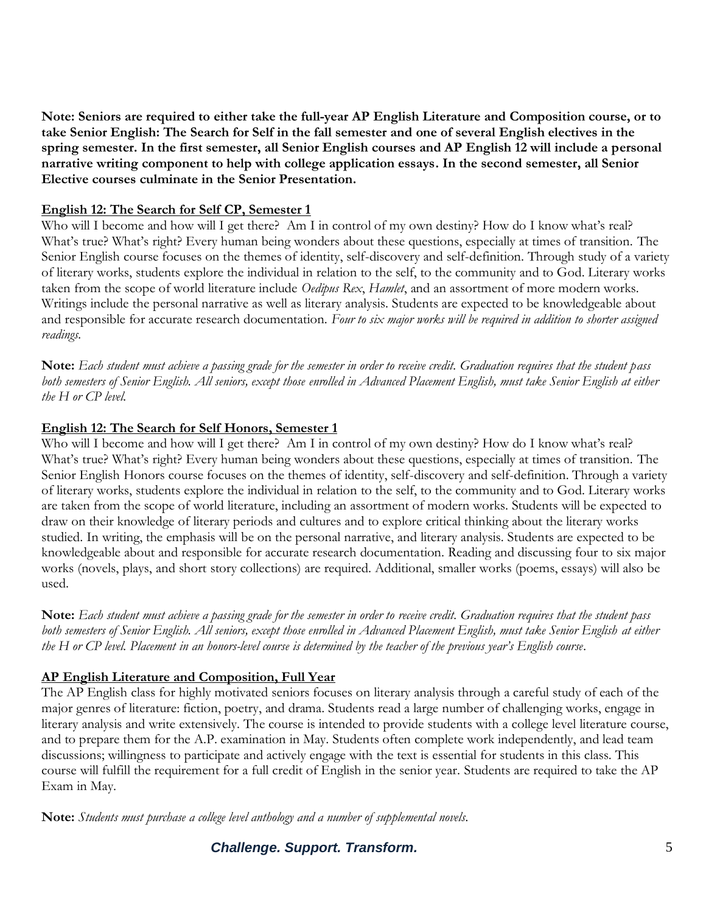**Note: Seniors are required to either take the full-year AP English Literature and Composition course, or to take Senior English: The Search for Self in the fall semester and one of several English electives in the spring semester. In the first semester, all Senior English courses and AP English 12 will include a personal narrative writing component to help with college application essays. In the second semester, all Senior Elective courses culminate in the Senior Presentation.**

#### **English 12: The Search for Self CP, Semester 1**

Who will I become and how will I get there? Am I in control of my own destiny? How do I know what's real? What's true? What's right? Every human being wonders about these questions, especially at times of transition. The Senior English course focuses on the themes of identity, self-discovery and self-definition. Through study of a variety of literary works, students explore the individual in relation to the self, to the community and to God. Literary works taken from the scope of world literature include *Oedipus Rex*, *Hamlet*, and an assortment of more modern works. Writings include the personal narrative as well as literary analysis. Students are expected to be knowledgeable about and responsible for accurate research documentation. *Four to six major works will be required in addition to shorter assigned readings.*

**Note:** *Each student must achieve a passing grade for the semester in order to receive credit. Graduation requires that the student pass both semesters of Senior English. All seniors, except those enrolled in Advanced Placement English, must take Senior English at either the H or CP level.*

#### **English 12: The Search for Self Honors, Semester 1**

Who will I become and how will I get there? Am I in control of my own destiny? How do I know what's real? What's true? What's right? Every human being wonders about these questions, especially at times of transition. The Senior English Honors course focuses on the themes of identity, self-discovery and self-definition. Through a variety of literary works, students explore the individual in relation to the self, to the community and to God. Literary works are taken from the scope of world literature, including an assortment of modern works. Students will be expected to draw on their knowledge of literary periods and cultures and to explore critical thinking about the literary works studied. In writing, the emphasis will be on the personal narrative, and literary analysis. Students are expected to be knowledgeable about and responsible for accurate research documentation. Reading and discussing four to six major works (novels, plays, and short story collections) are required. Additional, smaller works (poems, essays) will also be used.

**Note:** *Each student must achieve a passing grade for the semester in order to receive credit. Graduation requires that the student pass both semesters of Senior English. All seniors, except those enrolled in Advanced Placement English, must take Senior English at either the H or CP level. Placement in an honors-level course is determined by the teacher of the previous year's English course.* 

#### **AP English Literature and Composition, Full Year**

The AP English class for highly motivated seniors focuses on literary analysis through a careful study of each of the major genres of literature: fiction, poetry, and drama. Students read a large number of challenging works, engage in literary analysis and write extensively. The course is intended to provide students with a college level literature course, and to prepare them for the A.P. examination in May. Students often complete work independently, and lead team discussions; willingness to participate and actively engage with the text is essential for students in this class. This course will fulfill the requirement for a full credit of English in the senior year. Students are required to take the AP Exam in May.

**Note:** *Students must purchase a college level anthology and a number of supplemental novels.* 

*Challenge. Support. Transform.* 5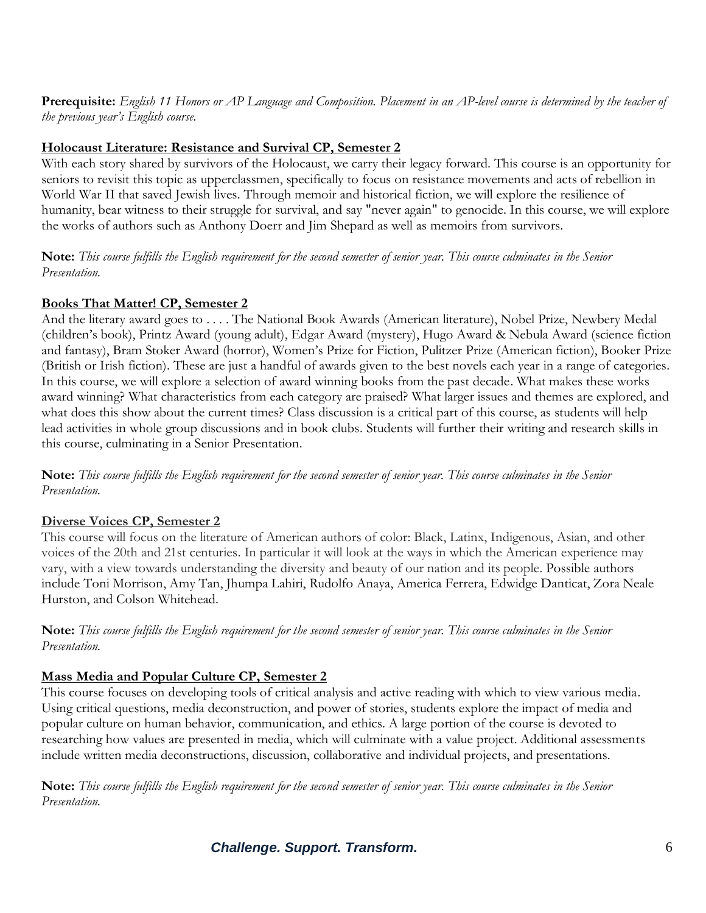**Prerequisite:** *English 11 Honors or AP Language and Composition. Placement in an AP-level course is determined by the teacher of the previous year's English course.*

#### **Holocaust Literature: Resistance and Survival CP, Semester 2**

With each story shared by survivors of the Holocaust, we carry their legacy forward. This course is an opportunity for seniors to revisit this topic as upperclassmen, specifically to focus on resistance movements and acts of rebellion in World War II that saved Jewish lives. Through memoir and historical fiction, we will explore the resilience of humanity, bear witness to their struggle for survival, and say "never again" to genocide. In this course, we will explore the works of authors such as Anthony Doerr and Jim Shepard as well as memoirs from survivors.

**Note:** *This course fulfills the English requirement for the second semester of senior year. This course culminates in the Senior Presentation.*

#### **Books That Matter! CP, Semester 2**

And the literary award goes to . . . . The National Book Awards (American literature), Nobel Prize, Newbery Medal (children's book), Printz Award (young adult), Edgar Award (mystery), Hugo Award & Nebula Award (science fiction and fantasy), Bram Stoker Award (horror), Women's Prize for Fiction, Pulitzer Prize (American fiction), Booker Prize (British or Irish fiction). These are just a handful of awards given to the best novels each year in a range of categories. In this course, we will explore a selection of award winning books from the past decade. What makes these works award winning? What characteristics from each category are praised? What larger issues and themes are explored, and what does this show about the current times? Class discussion is a critical part of this course, as students will help lead activities in whole group discussions and in book clubs. Students will further their writing and research skills in this course, culminating in a Senior Presentation.

**Note:** *This course fulfills the English requirement for the second semester of senior year. This course culminates in the Senior Presentation.*

#### **Diverse Voices CP, Semester 2**

This course will focus on the literature of American authors of color: Black, Latinx, Indigenous, Asian, and other voices of the 20th and 21st centuries. In particular it will look at the ways in which the American experience may vary, with a view towards understanding the diversity and beauty of our nation and its people. Possible authors include Toni Morrison, Amy Tan, Jhumpa Lahiri, Rudolfo Anaya, America Ferrera, Edwidge Danticat, Zora Neale Hurston, and Colson Whitehead.

**Note:** *This course fulfills the English requirement for the second semester of senior year. This course culminates in the Senior Presentation.*

#### **Mass Media and Popular Culture CP, Semester 2**

This course focuses on developing tools of critical analysis and active reading with which to view various media. Using critical questions, media deconstruction, and power of stories, students explore the impact of media and popular culture on human behavior, communication, and ethics. A large portion of the course is devoted to researching how values are presented in media, which will culminate with a value project. Additional assessments include written media deconstructions, discussion, collaborative and individual projects, and presentations.

**Note:** *This course fulfills the English requirement for the second semester of senior year. This course culminates in the Senior Presentation.*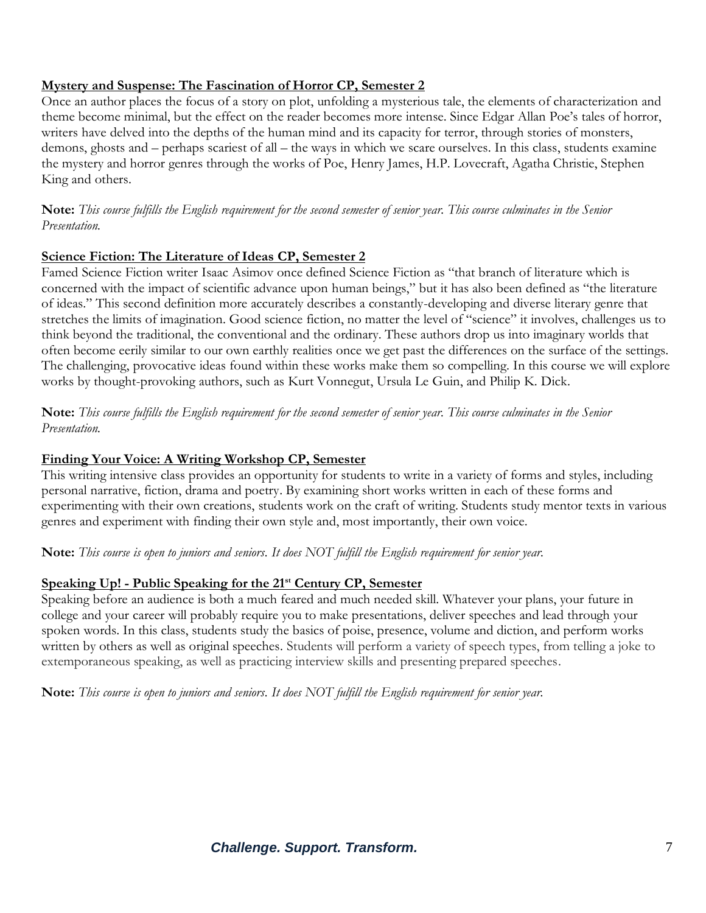#### **Mystery and Suspense: The Fascination of Horror CP, Semester 2**

Once an author places the focus of a story on plot, unfolding a mysterious tale, the elements of characterization and theme become minimal, but the effect on the reader becomes more intense. Since Edgar Allan Poe's tales of horror, writers have delved into the depths of the human mind and its capacity for terror, through stories of monsters, demons, ghosts and – perhaps scariest of all – the ways in which we scare ourselves. In this class, students examine the mystery and horror genres through the works of Poe, Henry James, H.P. Lovecraft, Agatha Christie, Stephen King and others.

**Note:** *This course fulfills the English requirement for the second semester of senior year. This course culminates in the Senior Presentation.*

#### **Science Fiction: The Literature of Ideas CP, Semester 2**

Famed Science Fiction writer Isaac Asimov once defined Science Fiction as "that branch of literature which is concerned with the impact of scientific advance upon human beings," but it has also been defined as "the literature of ideas." This second definition more accurately describes a constantly-developing and diverse literary genre that stretches the limits of imagination. Good science fiction, no matter the level of "science" it involves, challenges us to think beyond the traditional, the conventional and the ordinary. These authors drop us into imaginary worlds that often become eerily similar to our own earthly realities once we get past the differences on the surface of the settings. The challenging, provocative ideas found within these works make them so compelling. In this course we will explore works by thought-provoking authors, such as Kurt Vonnegut, Ursula Le Guin, and Philip K. Dick.

**Note:** *This course fulfills the English requirement for the second semester of senior year. This course culminates in the Senior Presentation.*

#### **Finding Your Voice: A Writing Workshop CP, Semester**

This writing intensive class provides an opportunity for students to write in a variety of forms and styles, including personal narrative, fiction, drama and poetry. By examining short works written in each of these forms and experimenting with their own creations, students work on the craft of writing. Students study mentor texts in various genres and experiment with finding their own style and, most importantly, their own voice.

**Note:** *This course is open to juniors and seniors. It does NOT fulfill the English requirement for senior year.*

#### **Speaking Up! - Public Speaking for the 21st Century CP, Semester**

Speaking before an audience is both a much feared and much needed skill. Whatever your plans, your future in college and your career will probably require you to make presentations, deliver speeches and lead through your spoken words. In this class, students study the basics of poise, presence, volume and diction, and perform works written by others as well as original speeches. Students will perform a variety of speech types, from telling a joke to extemporaneous speaking, as well as practicing interview skills and presenting prepared speeches.

**Note:** *This course is open to juniors and seniors. It does NOT fulfill the English requirement for senior year.*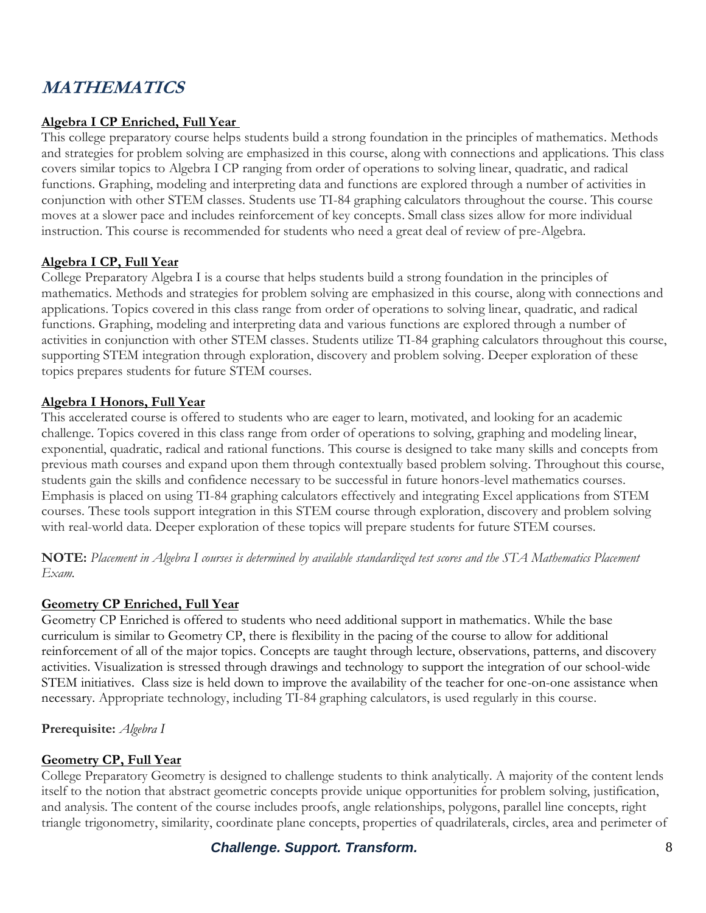# **MATHEMATICS**

### **Algebra I CP Enriched, Full Year**

This college preparatory course helps students build a strong foundation in the principles of mathematics. Methods and strategies for problem solving are emphasized in this course, along with connections and applications. This class covers similar topics to Algebra I CP ranging from order of operations to solving linear, quadratic, and radical functions. Graphing, modeling and interpreting data and functions are explored through a number of activities in conjunction with other STEM classes. Students use TI-84 graphing calculators throughout the course. This course moves at a slower pace and includes reinforcement of key concepts. Small class sizes allow for more individual instruction. This course is recommended for students who need a great deal of review of pre-Algebra.

#### **Algebra I CP, Full Year**

College Preparatory Algebra I is a course that helps students build a strong foundation in the principles of mathematics. Methods and strategies for problem solving are emphasized in this course, along with connections and applications. Topics covered in this class range from order of operations to solving linear, quadratic, and radical functions. Graphing, modeling and interpreting data and various functions are explored through a number of activities in conjunction with other STEM classes. Students utilize TI-84 graphing calculators throughout this course, supporting STEM integration through exploration, discovery and problem solving. Deeper exploration of these topics prepares students for future STEM courses.

#### **Algebra I Honors, Full Year**

This accelerated course is offered to students who are eager to learn, motivated, and looking for an academic challenge. Topics covered in this class range from order of operations to solving, graphing and modeling linear, exponential, quadratic, radical and rational functions. This course is designed to take many skills and concepts from previous math courses and expand upon them through contextually based problem solving. Throughout this course, students gain the skills and confidence necessary to be successful in future honors-level mathematics courses. Emphasis is placed on using TI-84 graphing calculators effectively and integrating Excel applications from STEM courses. These tools support integration in this STEM course through exploration, discovery and problem solving with real-world data. Deeper exploration of these topics will prepare students for future STEM courses.

**NOTE:** *Placement in Algebra I courses is determined by available standardized test scores and the STA Mathematics Placement Exam.*

#### **Geometry CP Enriched, Full Year**

Geometry CP Enriched is offered to students who need additional support in mathematics. While the base curriculum is similar to Geometry CP, there is flexibility in the pacing of the course to allow for additional reinforcement of all of the major topics. Concepts are taught through lecture, observations, patterns, and discovery activities. Visualization is stressed through drawings and technology to support the integration of our school-wide STEM initiatives. Class size is held down to improve the availability of the teacher for one-on-one assistance when necessary. Appropriate technology, including TI-84 graphing calculators, is used regularly in this course.

**Prerequisite:** *Algebra I*

#### **Geometry CP, Full Year**

College Preparatory Geometry is designed to challenge students to think analytically. A majority of the content lends itself to the notion that abstract geometric concepts provide unique opportunities for problem solving, justification, and analysis. The content of the course includes proofs, angle relationships, polygons, parallel line concepts, right triangle trigonometry, similarity, coordinate plane concepts, properties of quadrilaterals, circles, area and perimeter of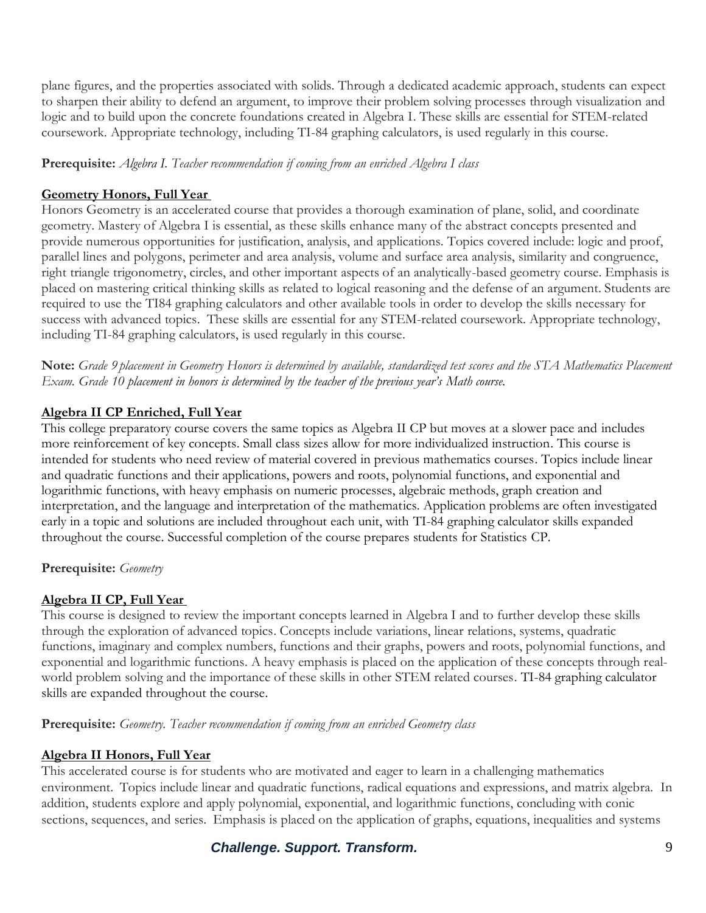plane figures, and the properties associated with solids. Through a dedicated academic approach, students can expect to sharpen their ability to defend an argument, to improve their problem solving processes through visualization and logic and to build upon the concrete foundations created in Algebra I. These skills are essential for STEM-related coursework. Appropriate technology, including TI-84 graphing calculators, is used regularly in this course.

**Prerequisite:** *Algebra I. Teacher recommendation if coming from an enriched Algebra I class*

# **Geometry Honors, Full Year**

Honors Geometry is an accelerated course that provides a thorough examination of plane, solid, and coordinate geometry. Mastery of Algebra I is essential, as these skills enhance many of the abstract concepts presented and provide numerous opportunities for justification, analysis, and applications. Topics covered include: logic and proof, parallel lines and polygons, perimeter and area analysis, volume and surface area analysis, similarity and congruence, right triangle trigonometry, circles, and other important aspects of an analytically-based geometry course. Emphasis is placed on mastering critical thinking skills as related to logical reasoning and the defense of an argument. Students are required to use the TI84 graphing calculators and other available tools in order to develop the skills necessary for success with advanced topics. These skills are essential for any STEM-related coursework. Appropriate technology, including TI-84 graphing calculators, is used regularly in this course.

**Note:** *Grade 9 placement in Geometry Honors is determined by available, standardized test scores and the STA Mathematics Placement Exam. Grade 10 placement in honors is determined by the teacher of the previous year's Math course.*

# **Algebra II CP Enriched, Full Year**

This college preparatory course covers the same topics as Algebra II CP but moves at a slower pace and includes more reinforcement of key concepts. Small class sizes allow for more individualized instruction. This course is intended for students who need review of material covered in previous mathematics courses. Topics include linear and quadratic functions and their applications, powers and roots, polynomial functions, and exponential and logarithmic functions, with heavy emphasis on numeric processes, algebraic methods, graph creation and interpretation, and the language and interpretation of the mathematics. Application problems are often investigated early in a topic and solutions are included throughout each unit, with TI-84 graphing calculator skills expanded throughout the course. Successful completion of the course prepares students for Statistics CP.

# **Prerequisite:** *Geometry*

# **Algebra II CP, Full Year**

This course is designed to review the important concepts learned in Algebra I and to further develop these skills through the exploration of advanced topics. Concepts include variations, linear relations, systems, quadratic functions, imaginary and complex numbers, functions and their graphs, powers and roots, polynomial functions, and exponential and logarithmic functions. A heavy emphasis is placed on the application of these concepts through realworld problem solving and the importance of these skills in other STEM related courses. TI-84 graphing calculator skills are expanded throughout the course.

**Prerequisite:** *Geometry. Teacher recommendation if coming from an enriched Geometry class*

# **Algebra II Honors, Full Year**

This accelerated course is for students who are motivated and eager to learn in a challenging mathematics environment. Topics include linear and quadratic functions, radical equations and expressions, and matrix algebra. In addition, students explore and apply polynomial, exponential, and logarithmic functions, concluding with conic sections, sequences, and series. Emphasis is placed on the application of graphs, equations, inequalities and systems

**Challenge. Support. Transform. Challenge. Support. Transform. 9**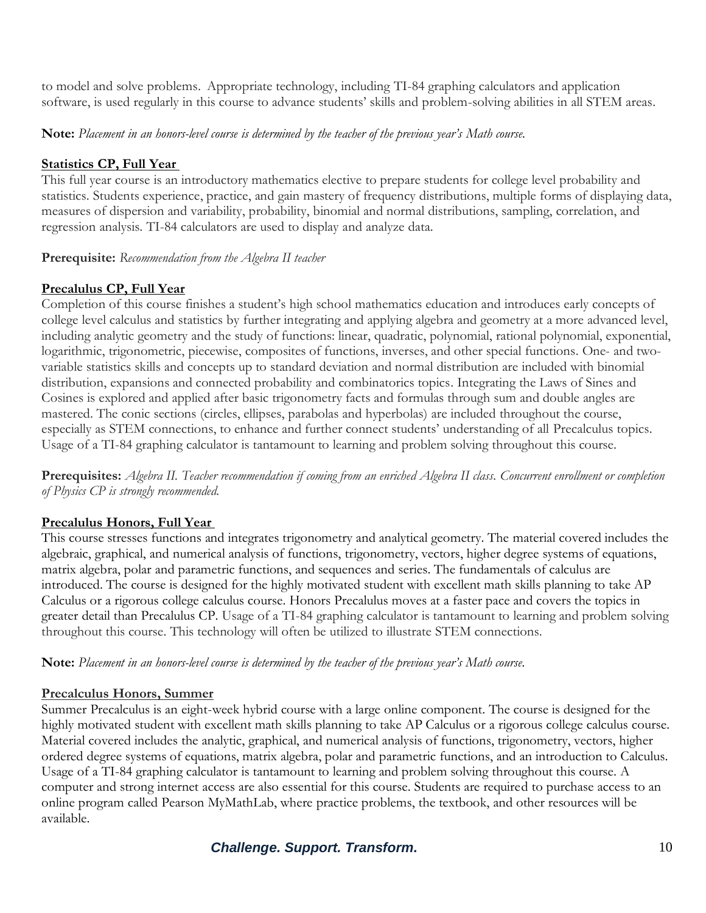to model and solve problems. Appropriate technology, including TI-84 graphing calculators and application software, is used regularly in this course to advance students' skills and problem-solving abilities in all STEM areas.

**Note:** *Placement in an honors-level course is determined by the teacher of the previous year's Math course.*

#### **Statistics CP, Full Year**

This full year course is an introductory mathematics elective to prepare students for college level probability and statistics. Students experience, practice, and gain mastery of frequency distributions, multiple forms of displaying data, measures of dispersion and variability, probability, binomial and normal distributions, sampling, correlation, and regression analysis. TI-84 calculators are used to display and analyze data.

**Prerequisite:** *Recommendation from the Algebra II teacher*

### **Precalulus CP, Full Year**

Completion of this course finishes a student's high school mathematics education and introduces early concepts of college level calculus and statistics by further integrating and applying algebra and geometry at a more advanced level, including analytic geometry and the study of functions: linear, quadratic, polynomial, rational polynomial, exponential, logarithmic, trigonometric, piecewise, composites of functions, inverses, and other special functions. One- and twovariable statistics skills and concepts up to standard deviation and normal distribution are included with binomial distribution, expansions and connected probability and combinatorics topics. Integrating the Laws of Sines and Cosines is explored and applied after basic trigonometry facts and formulas through sum and double angles are mastered. The conic sections (circles, ellipses, parabolas and hyperbolas) are included throughout the course, especially as STEM connections, to enhance and further connect students' understanding of all Precalculus topics. Usage of a TI-84 graphing calculator is tantamount to learning and problem solving throughout this course.

**Prerequisites:** *Algebra II. Teacher recommendation if coming from an enriched Algebra II class. Concurrent enrollment or completion of Physics CP is strongly recommended.*

#### **Precalulus Honors, Full Year**

This course stresses functions and integrates trigonometry and analytical geometry. The material covered includes the algebraic, graphical, and numerical analysis of functions, trigonometry, vectors, higher degree systems of equations, matrix algebra, polar and parametric functions, and sequences and series. The fundamentals of calculus are introduced. The course is designed for the highly motivated student with excellent math skills planning to take AP Calculus or a rigorous college calculus course. Honors Precalulus moves at a faster pace and covers the topics in greater detail than Precalulus CP. Usage of a TI-84 graphing calculator is tantamount to learning and problem solving throughout this course. This technology will often be utilized to illustrate STEM connections.

**Note:** *Placement in an honors-level course is determined by the teacher of the previous year's Math course.*

#### **Precalculus Honors, Summer**

Summer Precalculus is an eight-week hybrid course with a large online component. The course is designed for the highly motivated student with excellent math skills planning to take AP Calculus or a rigorous college calculus course. Material covered includes the analytic, graphical, and numerical analysis of functions, trigonometry, vectors, higher ordered degree systems of equations, matrix algebra, polar and parametric functions, and an introduction to Calculus. Usage of a TI-84 graphing calculator is tantamount to learning and problem solving throughout this course. A computer and strong internet access are also essential for this course. Students are required to purchase access to an online program called Pearson MyMathLab, where practice problems, the textbook, and other resources will be available.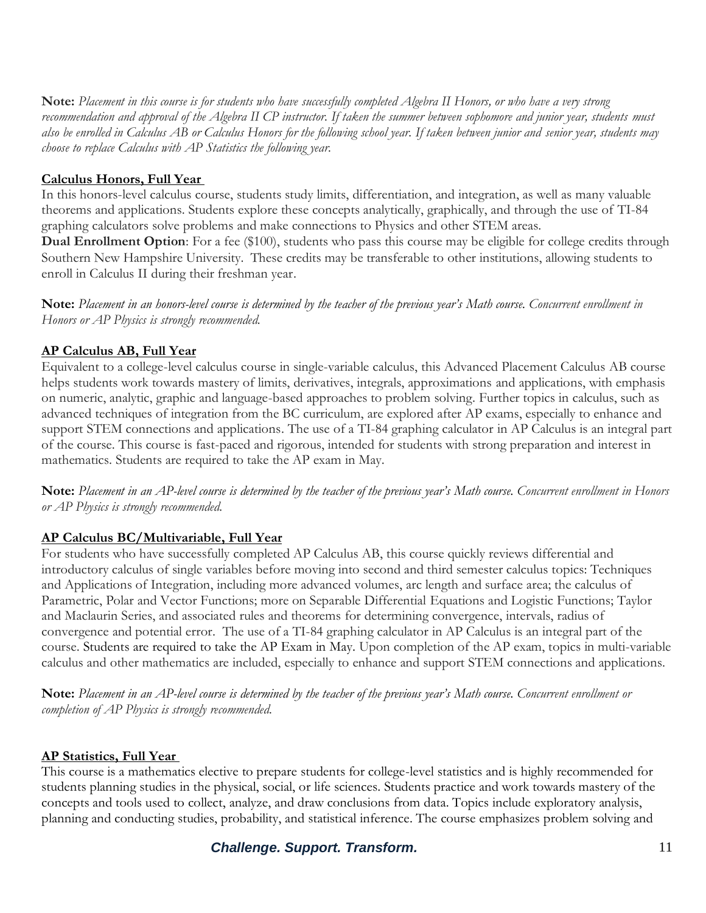**Note:** *Placement in this course is for students who have successfully completed Algebra II Honors, or who have a very strong recommendation and approval of the Algebra II CP instructor. If taken the summer between sophomore and junior year, students must also be enrolled in Calculus AB or Calculus Honors for the following school year. If taken between junior and senior year, students may choose to replace Calculus with AP Statistics the following year.*

#### **Calculus Honors, Full Year**

In this honors-level calculus course, students study limits, differentiation, and integration, as well as many valuable theorems and applications. Students explore these concepts analytically, graphically, and through the use of TI-84 graphing calculators solve problems and make connections to Physics and other STEM areas.

**Dual Enrollment Option**: For a fee (\$100), students who pass this course may be eligible for college credits through Southern New Hampshire University. These credits may be transferable to other institutions, allowing students to enroll in Calculus II during their freshman year.

**Note:** *Placement in an honors-level course is determined by the teacher of the previous year's Math course. Concurrent enrollment in Honors or AP Physics is strongly recommended.*

#### **AP Calculus AB, Full Year**

Equivalent to a college-level calculus course in single-variable calculus, this Advanced Placement Calculus AB course helps students work towards mastery of limits, derivatives, integrals, approximations and applications, with emphasis on numeric, analytic, graphic and language-based approaches to problem solving. Further topics in calculus, such as advanced techniques of integration from the BC curriculum, are explored after AP exams, especially to enhance and support STEM connections and applications. The use of a TI-84 graphing calculator in AP Calculus is an integral part of the course. This course is fast-paced and rigorous, intended for students with strong preparation and interest in mathematics. Students are required to take the AP exam in May.

**Note:** *Placement in an AP-level course is determined by the teacher of the previous year's Math course. Concurrent enrollment in Honors or AP Physics is strongly recommended.*

#### **AP Calculus BC/Multivariable, Full Year**

For students who have successfully completed AP Calculus AB, this course quickly reviews differential and introductory calculus of single variables before moving into second and third semester calculus topics: Techniques and Applications of Integration, including more advanced volumes, arc length and surface area; the calculus of Parametric, Polar and Vector Functions; more on Separable Differential Equations and Logistic Functions; Taylor and Maclaurin Series, and associated rules and theorems for determining convergence, intervals, radius of convergence and potential error. The use of a TI-84 graphing calculator in AP Calculus is an integral part of the course. Students are required to take the AP Exam in May. Upon completion of the AP exam, topics in multi-variable calculus and other mathematics are included, especially to enhance and support STEM connections and applications.

**Note:** *Placement in an AP-level course is determined by the teacher of the previous year's Math course. Concurrent enrollment or completion of AP Physics is strongly recommended.*

#### **AP Statistics, Full Year**

This course is a mathematics elective to prepare students for college-level statistics and is highly recommended for students planning studies in the physical, social, or life sciences. Students practice and work towards mastery of the concepts and tools used to collect, analyze, and draw conclusions from data. Topics include exploratory analysis, planning and conducting studies, probability, and statistical inference. The course emphasizes problem solving and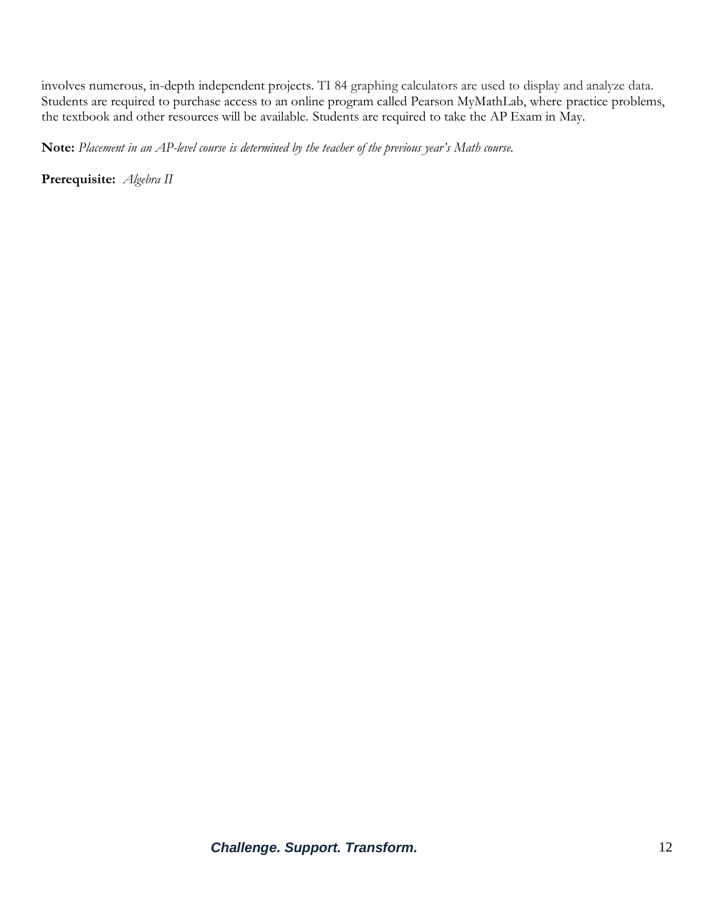involves numerous, in-depth independent projects. TI 84 graphing calculators are used to display and analyze data. Students are required to purchase access to an online program called Pearson MyMathLab, where practice problems, the textbook and other resources will be available. Students are required to take the AP Exam in May.

**Note:** *Placement in an AP-level course is determined by the teacher of the previous year's Math course.*

**Prerequisite:** *Algebra II*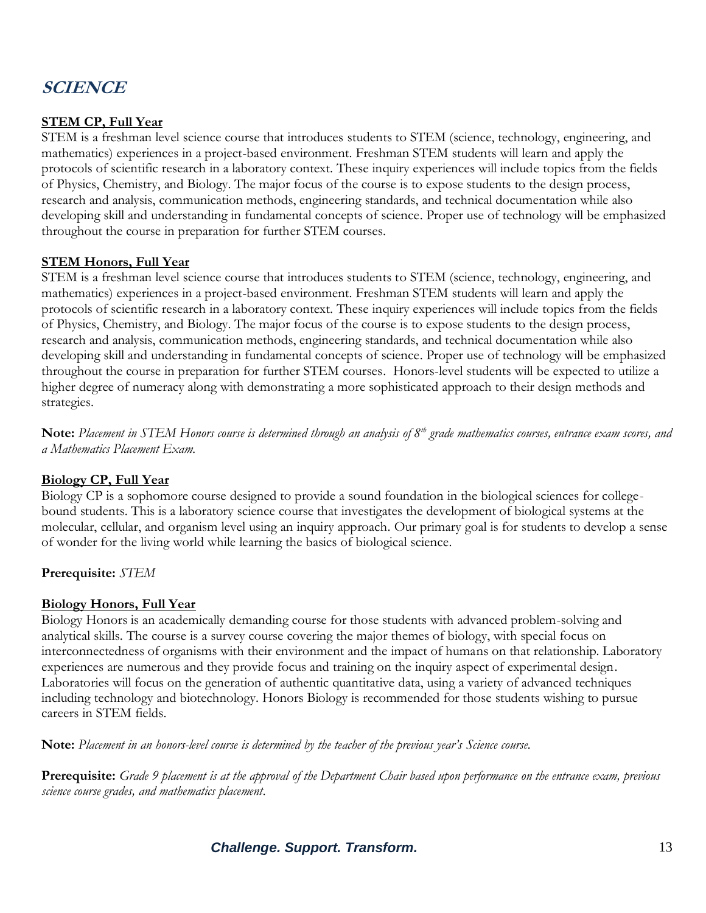# **SCIENCE**

### **STEM CP, Full Year**

STEM is a freshman level science course that introduces students to STEM (science, technology, engineering, and mathematics) experiences in a project-based environment. Freshman STEM students will learn and apply the protocols of scientific research in a laboratory context. These inquiry experiences will include topics from the fields of Physics, Chemistry, and Biology. The major focus of the course is to expose students to the design process, research and analysis, communication methods, engineering standards, and technical documentation while also developing skill and understanding in fundamental concepts of science. Proper use of technology will be emphasized throughout the course in preparation for further STEM courses.

#### **STEM Honors, Full Year**

STEM is a freshman level science course that introduces students to STEM (science, technology, engineering, and mathematics) experiences in a project-based environment. Freshman STEM students will learn and apply the protocols of scientific research in a laboratory context. These inquiry experiences will include topics from the fields of Physics, Chemistry, and Biology. The major focus of the course is to expose students to the design process, research and analysis, communication methods, engineering standards, and technical documentation while also developing skill and understanding in fundamental concepts of science. Proper use of technology will be emphasized throughout the course in preparation for further STEM courses. Honors-level students will be expected to utilize a higher degree of numeracy along with demonstrating a more sophisticated approach to their design methods and strategies.

**Note:** *Placement in STEM Honors course is determined through an analysis of 8th grade mathematics courses, entrance exam scores, and a Mathematics Placement Exam.*

#### **Biology CP, Full Year**

Biology CP is a sophomore course designed to provide a sound foundation in the biological sciences for collegebound students. This is a laboratory science course that investigates the development of biological systems at the molecular, cellular, and organism level using an inquiry approach. Our primary goal is for students to develop a sense of wonder for the living world while learning the basics of biological science.

**Prerequisite:** *STEM*

#### **Biology Honors, Full Year**

Biology Honors is an academically demanding course for those students with advanced problem-solving and analytical skills. The course is a survey course covering the major themes of biology, with special focus on interconnectedness of organisms with their environment and the impact of humans on that relationship. Laboratory experiences are numerous and they provide focus and training on the inquiry aspect of experimental design. Laboratories will focus on the generation of authentic quantitative data, using a variety of advanced techniques including technology and biotechnology. Honors Biology is recommended for those students wishing to pursue careers in STEM fields.

**Note:** *Placement in an honors-level course is determined by the teacher of the previous year's Science course.*

**Prerequisite:** *Grade 9 placement is at the approval of the Department Chair based upon performance on the entrance exam, previous science course grades, and mathematics placement.*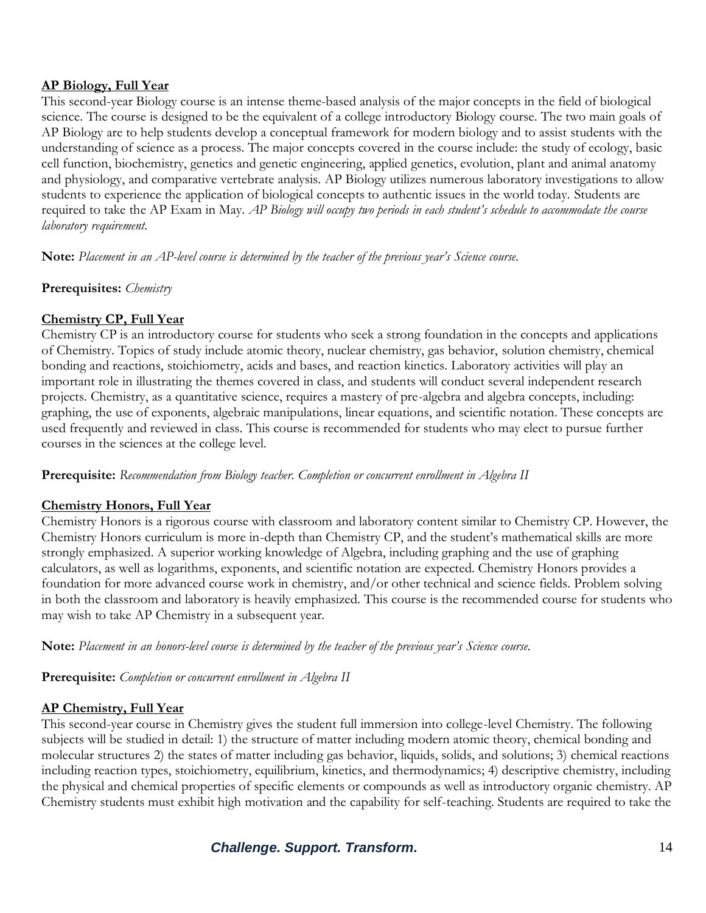#### **AP Biology, Full Year**

This second-year Biology course is an intense theme-based analysis of the major concepts in the field of biological science. The course is designed to be the equivalent of a college introductory Biology course. The two main goals of AP Biology are to help students develop a conceptual framework for modern biology and to assist students with the understanding of science as a process. The major concepts covered in the course include: the study of ecology, basic cell function, biochemistry, genetics and genetic engineering, applied genetics, evolution, plant and animal anatomy and physiology, and comparative vertebrate analysis. AP Biology utilizes numerous laboratory investigations to allow students to experience the application of biological concepts to authentic issues in the world today. Students are required to take the AP Exam in May. *AP Biology will occupy two periods in each student's schedule to accommodate the course laboratory requirement.*

**Note:** *Placement in an AP-level course is determined by the teacher of the previous year's Science course.*

**Prerequisites:** *Chemistry*

#### **Chemistry CP, Full Year**

Chemistry CP is an introductory course for students who seek a strong foundation in the concepts and applications of Chemistry. Topics of study include atomic theory, nuclear chemistry, gas behavior, solution chemistry, chemical bonding and reactions, stoichiometry, acids and bases, and reaction kinetics. Laboratory activities will play an important role in illustrating the themes covered in class, and students will conduct several independent research projects. Chemistry, as a quantitative science, requires a mastery of pre-algebra and algebra concepts, including: graphing, the use of exponents, algebraic manipulations, linear equations, and scientific notation. These concepts are used frequently and reviewed in class. This course is recommended for students who may elect to pursue further courses in the sciences at the college level.

**Prerequisite:** *Recommendation from Biology teacher. Completion or concurrent enrollment in Algebra II*

#### **Chemistry Honors, Full Year**

Chemistry Honors is a rigorous course with classroom and laboratory content similar to Chemistry CP. However, the Chemistry Honors curriculum is more in-depth than Chemistry CP, and the student's mathematical skills are more strongly emphasized. A superior working knowledge of Algebra, including graphing and the use of graphing calculators, as well as logarithms, exponents, and scientific notation are expected. Chemistry Honors provides a foundation for more advanced course work in chemistry, and/or other technical and science fields. Problem solving in both the classroom and laboratory is heavily emphasized. This course is the recommended course for students who may wish to take AP Chemistry in a subsequent year.

**Note:** *Placement in an honors-level course is determined by the teacher of the previous year's Science course.*

**Prerequisite:** *Completion or concurrent enrollment in Algebra II*

#### **AP Chemistry, Full Year**

This second-year course in Chemistry gives the student full immersion into college-level Chemistry. The following subjects will be studied in detail: 1) the structure of matter including modern atomic theory, chemical bonding and molecular structures 2) the states of matter including gas behavior, liquids, solids, and solutions; 3) chemical reactions including reaction types, stoichiometry, equilibrium, kinetics, and thermodynamics; 4) descriptive chemistry, including the physical and chemical properties of specific elements or compounds as well as introductory organic chemistry. AP Chemistry students must exhibit high motivation and the capability for self-teaching. Students are required to take the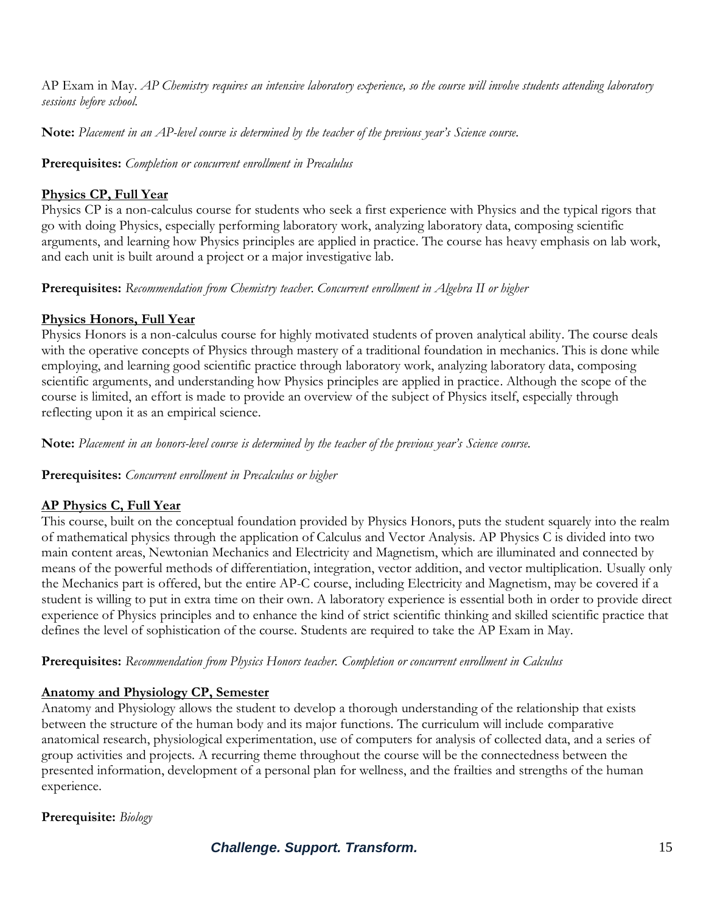AP Exam in May. *AP Chemistry requires an intensive laboratory experience, so the course will involve students attending laboratory sessions before school.*

**Note:** *Placement in an AP-level course is determined by the teacher of the previous year's Science course.*

**Prerequisites:** *Completion or concurrent enrollment in Precalulus*

# **Physics CP, Full Year**

Physics CP is a non-calculus course for students who seek a first experience with Physics and the typical rigors that go with doing Physics, especially performing laboratory work, analyzing laboratory data, composing scientific arguments, and learning how Physics principles are applied in practice. The course has heavy emphasis on lab work, and each unit is built around a project or a major investigative lab.

**Prerequisites:** *Recommendation from Chemistry teacher. Concurrent enrollment in Algebra II or higher*

# **Physics Honors, Full Year**

Physics Honors is a non-calculus course for highly motivated students of proven analytical ability. The course deals with the operative concepts of Physics through mastery of a traditional foundation in mechanics. This is done while employing, and learning good scientific practice through laboratory work, analyzing laboratory data, composing scientific arguments, and understanding how Physics principles are applied in practice. Although the scope of the course is limited, an effort is made to provide an overview of the subject of Physics itself, especially through reflecting upon it as an empirical science.

**Note:** *Placement in an honors-level course is determined by the teacher of the previous year's Science course.*

#### **Prerequisites:** *Concurrent enrollment in Precalculus or higher*

# **AP Physics C, Full Year**

This course, built on the conceptual foundation provided by Physics Honors, puts the student squarely into the realm of mathematical physics through the application of Calculus and Vector Analysis. AP Physics C is divided into two main content areas, Newtonian Mechanics and Electricity and Magnetism, which are illuminated and connected by means of the powerful methods of differentiation, integration, vector addition, and vector multiplication. Usually only the Mechanics part is offered, but the entire AP-C course, including Electricity and Magnetism, may be covered if a student is willing to put in extra time on their own. A laboratory experience is essential both in order to provide direct experience of Physics principles and to enhance the kind of strict scientific thinking and skilled scientific practice that defines the level of sophistication of the course. Students are required to take the AP Exam in May.

**Prerequisites:** *Recommendation from Physics Honors teacher. Completion or concurrent enrollment in Calculus*

# **Anatomy and Physiology CP, Semester**

Anatomy and Physiology allows the student to develop a thorough understanding of the relationship that exists between the structure of the human body and its major functions. The curriculum will include comparative anatomical research, physiological experimentation, use of computers for analysis of collected data, and a series of group activities and projects. A recurring theme throughout the course will be the connectedness between the presented information, development of a personal plan for wellness, and the frailties and strengths of the human experience.

# **Prerequisite:** *Biology*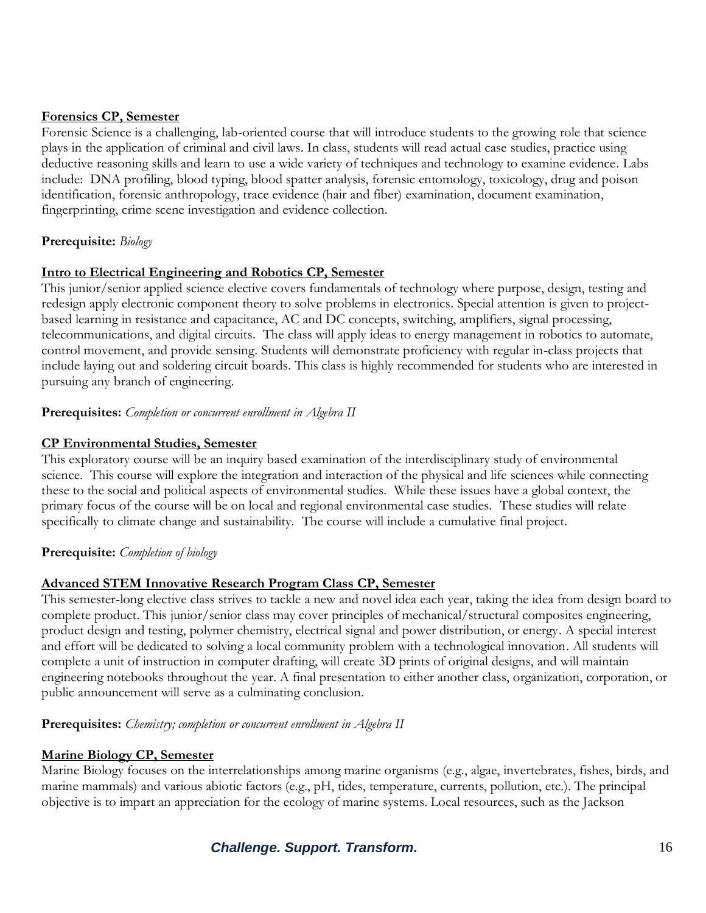#### **Forensics CP, Semester**

Forensic Science is a challenging, lab-oriented course that will introduce students to the growing role that science plays in the application of criminal and civil laws. In class, students will read actual case studies, practice using deductive reasoning skills and learn to use a wide variety of techniques and technology to examine evidence. Labs include: DNA profiling, blood typing, blood spatter analysis, forensic entomology, toxicology, drug and poison identification, forensic anthropology, trace evidence (hair and fiber) examination, document examination, fingerprinting, crime scene investigation and evidence collection.

#### **Prerequisite:** *Biology*

#### **Intro to Electrical Engineering and Robotics CP, Semester**

This junior/senior applied science elective covers fundamentals of technology where purpose, design, testing and redesign apply electronic component theory to solve problems in electronics. Special attention is given to projectbased learning in resistance and capacitance, AC and DC concepts, switching, amplifiers, signal processing, telecommunications, and digital circuits. The class will apply ideas to energy management in robotics to automate, control movement, and provide sensing. Students will demonstrate proficiency with regular in-class projects that include laying out and soldering circuit boards. This class is highly recommended for students who are interested in pursuing any branch of engineering.

#### **Prerequisites:** *Completion or concurrent enrollment in Algebra II*

#### **CP Environmental Studies, Semester**

This exploratory course will be an inquiry based examination of the interdisciplinary study of environmental science. This course will explore the integration and interaction of the physical and life sciences while connecting these to the social and political aspects of environmental studies. While these issues have a global context, the primary focus of the course will be on local and regional environmental case studies. These studies will relate specifically to climate change and sustainability. The course will include a cumulative final project.

#### **Prerequisite:** *Completion of biology*

#### **Advanced STEM Innovative Research Program Class CP, Semester**

This semester-long elective class strives to tackle a new and novel idea each year, taking the idea from design board to complete product. This junior/senior class may cover principles of mechanical/structural composites engineering, product design and testing, polymer chemistry, electrical signal and power distribution, or energy. A special interest and effort will be dedicated to solving a local community problem with a technological innovation. All students will complete a unit of instruction in computer drafting, will create 3D prints of original designs, and will maintain engineering notebooks throughout the year. A final presentation to either another class, organization, corporation, or public announcement will serve as a culminating conclusion.

#### **Prerequisites:** *Chemistry; completion or concurrent enrollment in Algebra II*

#### **Marine Biology CP, Semester**

Marine Biology focuses on the interrelationships among marine organisms (e.g., algae, invertebrates, fishes, birds, and marine mammals) and various abiotic factors (e.g., pH, tides, temperature, currents, pollution, etc.). The principal objective is to impart an appreciation for the ecology of marine systems. Local resources, such as the Jackson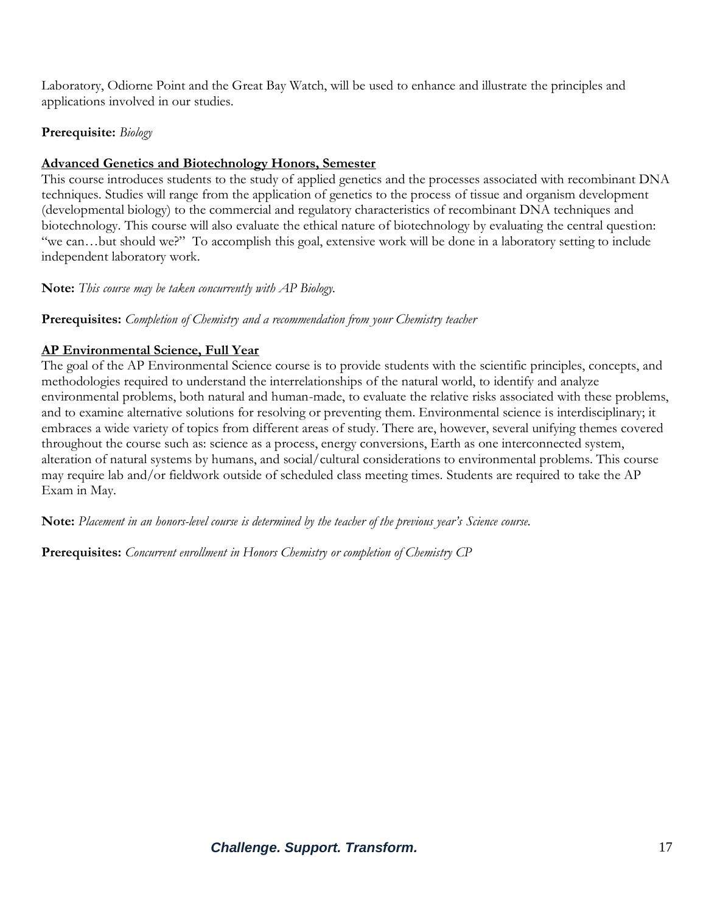Laboratory, Odiorne Point and the Great Bay Watch, will be used to enhance and illustrate the principles and applications involved in our studies.

#### **Prerequisite:** *Biology*

#### **Advanced Genetics and Biotechnology Honors, Semester**

This course introduces students to the study of applied genetics and the processes associated with recombinant DNA techniques. Studies will range from the application of genetics to the process of tissue and organism development (developmental biology) to the commercial and regulatory characteristics of recombinant DNA techniques and biotechnology. This course will also evaluate the ethical nature of biotechnology by evaluating the central question: "we can…but should we?" To accomplish this goal, extensive work will be done in a laboratory setting to include independent laboratory work.

**Note:** *This course may be taken concurrently with AP Biology.*

**Prerequisites:** *Completion of Chemistry and a recommendation from your Chemistry teacher*

### **AP Environmental Science, Full Year**

The goal of the AP Environmental Science course is to provide students with the scientific principles, concepts, and methodologies required to understand the interrelationships of the natural world, to identify and analyze environmental problems, both natural and human-made, to evaluate the relative risks associated with these problems, and to examine alternative solutions for resolving or preventing them. Environmental science is interdisciplinary; it embraces a wide variety of topics from different areas of study. There are, however, several unifying themes covered throughout the course such as: science as a process, energy conversions, Earth as one interconnected system, alteration of natural systems by humans, and social/cultural considerations to environmental problems. This course may require lab and/or fieldwork outside of scheduled class meeting times. Students are required to take the AP Exam in May.

**Note:** *Placement in an honors-level course is determined by the teacher of the previous year's Science course.*

**Prerequisites:** *Concurrent enrollment in Honors Chemistry or completion of Chemistry CP*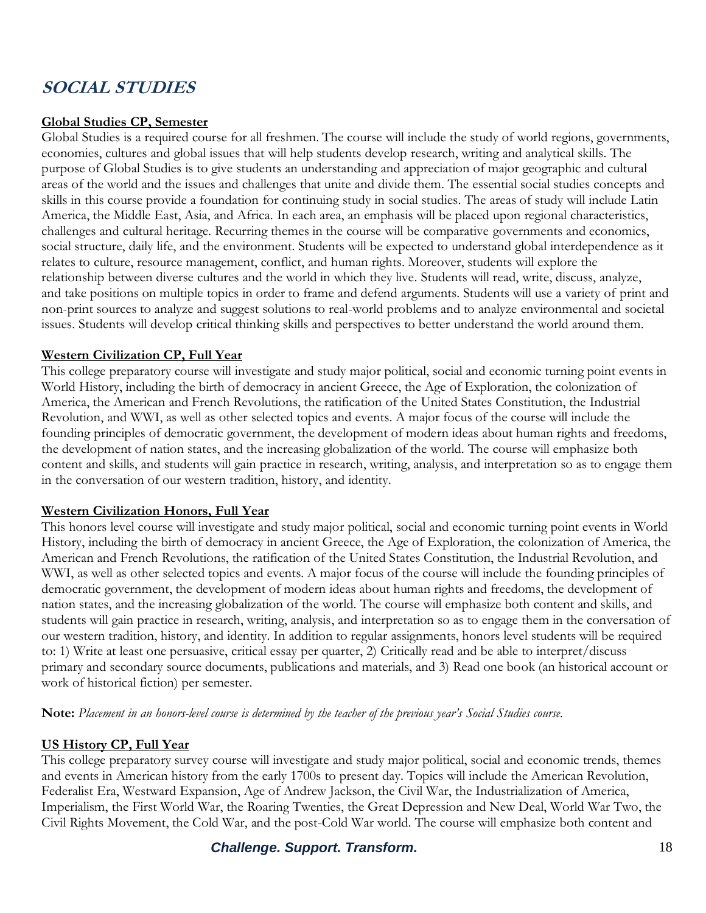# **SOCIAL STUDIES**

#### **Global Studies CP, Semester**

Global Studies is a required course for all freshmen. The course will include the study of world regions, governments, economies, cultures and global issues that will help students develop research, writing and analytical skills. The purpose of Global Studies is to give students an understanding and appreciation of major geographic and cultural areas of the world and the issues and challenges that unite and divide them. The essential social studies concepts and skills in this course provide a foundation for continuing study in social studies. The areas of study will include Latin America, the Middle East, Asia, and Africa. In each area, an emphasis will be placed upon regional characteristics, challenges and cultural heritage. Recurring themes in the course will be comparative governments and economics, social structure, daily life, and the environment. Students will be expected to understand global interdependence as it relates to culture, resource management, conflict, and human rights. Moreover, students will explore the relationship between diverse cultures and the world in which they live. Students will read, write, discuss, analyze, and take positions on multiple topics in order to frame and defend arguments. Students will use a variety of print and non-print sources to analyze and suggest solutions to real-world problems and to analyze environmental and societal issues. Students will develop critical thinking skills and perspectives to better understand the world around them.

#### **Western Civilization CP, Full Year**

This college preparatory course will investigate and study major political, social and economic turning point events in World History, including the birth of democracy in ancient Greece, the Age of Exploration, the colonization of America, the American and French Revolutions, the ratification of the United States Constitution, the Industrial Revolution, and WWI, as well as other selected topics and events. A major focus of the course will include the founding principles of democratic government, the development of modern ideas about human rights and freedoms, the development of nation states, and the increasing globalization of the world. The course will emphasize both content and skills, and students will gain practice in research, writing, analysis, and interpretation so as to engage them in the conversation of our western tradition, history, and identity.

#### **Western Civilization Honors, Full Year**

This honors level course will investigate and study major political, social and economic turning point events in World History, including the birth of democracy in ancient Greece, the Age of Exploration, the colonization of America, the American and French Revolutions, the ratification of the United States Constitution, the Industrial Revolution, and WWI, as well as other selected topics and events. A major focus of the course will include the founding principles of democratic government, the development of modern ideas about human rights and freedoms, the development of nation states, and the increasing globalization of the world. The course will emphasize both content and skills, and students will gain practice in research, writing, analysis, and interpretation so as to engage them in the conversation of our western tradition, history, and identity. In addition to regular assignments, honors level students will be required to: 1) Write at least one persuasive, critical essay per quarter, 2) Critically read and be able to interpret/discuss primary and secondary source documents, publications and materials, and 3) Read one book (an historical account or work of historical fiction) per semester.

**Note:** *Placement in an honors-level course is determined by the teacher of the previous year's Social Studies course.*

#### **US History CP, Full Year**

This college preparatory survey course will investigate and study major political, social and economic trends, themes and events in American history from the early 1700s to present day. Topics will include the American Revolution, Federalist Era, Westward Expansion, Age of Andrew Jackson, the Civil War, the Industrialization of America, Imperialism, the First World War, the Roaring Twenties, the Great Depression and New Deal, World War Two, the Civil Rights Movement, the Cold War, and the post-Cold War world. The course will emphasize both content and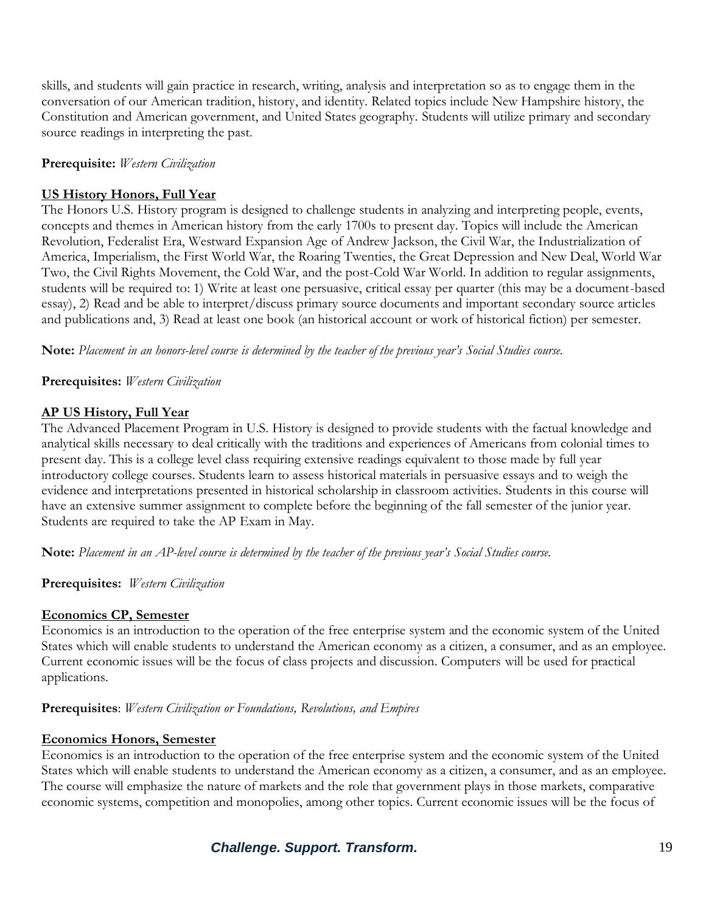skills, and students will gain practice in research, writing, analysis and interpretation so as to engage them in the conversation of our American tradition, history, and identity. Related topics include New Hampshire history, the Constitution and American government, and United States geography. Students will utilize primary and secondary source readings in interpreting the past.

#### **Prerequisite:** *Western Civilization*

#### **US History Honors, Full Year**

The Honors U.S. History program is designed to challenge students in analyzing and interpreting people, events, concepts and themes in American history from the early 1700s to present day. Topics will include the American Revolution, Federalist Era, Westward Expansion Age of Andrew Jackson, the Civil War, the Industrialization of America, Imperialism, the First World War, the Roaring Twenties, the Great Depression and New Deal, World War Two, the Civil Rights Movement, the Cold War, and the post-Cold War World. In addition to regular assignments, students will be required to: 1) Write at least one persuasive, critical essay per quarter (this may be a document-based essay), 2) Read and be able to interpret/discuss primary source documents and important secondary source articles and publications and, 3) Read at least one book (an historical account or work of historical fiction) per semester.

**Note:** *Placement in an honors-level course is determined by the teacher of the previous year's Social Studies course.*

**Prerequisites:** *Western Civilization*

#### **AP US History, Full Year**

The Advanced Placement Program in U.S. History is designed to provide students with the factual knowledge and analytical skills necessary to deal critically with the traditions and experiences of Americans from colonial times to present day. This is a college level class requiring extensive readings equivalent to those made by full year introductory college courses. Students learn to assess historical materials in persuasive essays and to weigh the evidence and interpretations presented in historical scholarship in classroom activities. Students in this course will have an extensive summer assignment to complete before the beginning of the fall semester of the junior year. Students are required to take the AP Exam in May.

**Note:** *Placement in an AP-level course is determined by the teacher of the previous year's Social Studies course.*

#### **Prerequisites:** *Western Civilization*

#### **Economics CP, Semester**

Economics is an introduction to the operation of the free enterprise system and the economic system of the United States which will enable students to understand the American economy as a citizen, a consumer, and as an employee. Current economic issues will be the focus of class projects and discussion. Computers will be used for practical applications.

#### **Prerequisites**: *Western Civilization or Foundations, Revolutions, and Empires*

#### **Economics Honors, Semester**

Economics is an introduction to the operation of the free enterprise system and the economic system of the United States which will enable students to understand the American economy as a citizen, a consumer, and as an employee. The course will emphasize the nature of markets and the role that government plays in those markets, comparative economic systems, competition and monopolies, among other topics. Current economic issues will be the focus of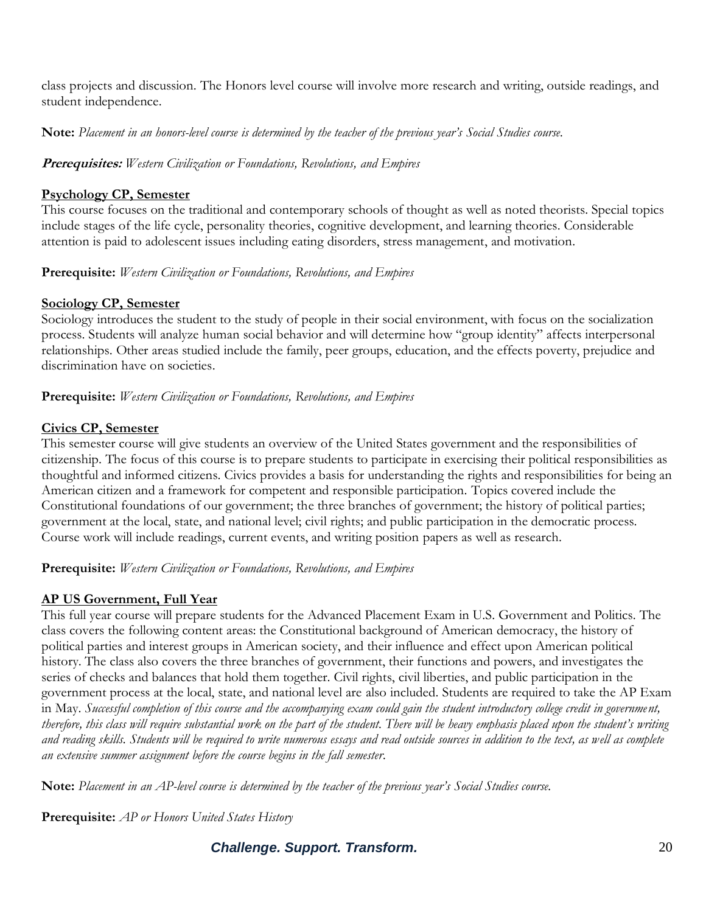class projects and discussion. The Honors level course will involve more research and writing, outside readings, and student independence.

**Note:** *Placement in an honors-level course is determined by the teacher of the previous year's Social Studies course.*

**Prerequisites:** *Western Civilization or Foundations, Revolutions, and Empires*

#### **Psychology CP, Semester**

This course focuses on the traditional and contemporary schools of thought as well as noted theorists. Special topics include stages of the life cycle, personality theories, cognitive development, and learning theories. Considerable attention is paid to adolescent issues including eating disorders, stress management, and motivation.

#### **Prerequisite:** *Western Civilization or Foundations, Revolutions, and Empires*

#### **Sociology CP, Semester**

Sociology introduces the student to the study of people in their social environment, with focus on the socialization process. Students will analyze human social behavior and will determine how "group identity" affects interpersonal relationships. Other areas studied include the family, peer groups, education, and the effects poverty, prejudice and discrimination have on societies.

**Prerequisite:** *Western Civilization or Foundations, Revolutions, and Empires*

#### **Civics CP, Semester**

This semester course will give students an overview of the United States government and the responsibilities of citizenship. The focus of this course is to prepare students to participate in exercising their political responsibilities as thoughtful and informed citizens. Civics provides a basis for understanding the rights and responsibilities for being an American citizen and a framework for competent and responsible participation. Topics covered include the Constitutional foundations of our government; the three branches of government; the history of political parties; government at the local, state, and national level; civil rights; and public participation in the democratic process. Course work will include readings, current events, and writing position papers as well as research.

**Prerequisite:** *Western Civilization or Foundations, Revolutions, and Empires*

#### **AP US Government, Full Year**

This full year course will prepare students for the Advanced Placement Exam in U.S. Government and Politics. The class covers the following content areas: the Constitutional background of American democracy, the history of political parties and interest groups in American society, and their influence and effect upon American political history. The class also covers the three branches of government, their functions and powers, and investigates the series of checks and balances that hold them together. Civil rights, civil liberties, and public participation in the government process at the local, state, and national level are also included. Students are required to take the AP Exam in May. *Successful completion of this course and the accompanying exam could gain the student introductory college credit in government, therefore, this class will require substantial work on the part of the student. There will be heavy emphasis placed upon the student's writing and reading skills. Students will be required to write numerous essays and read outside sources in addition to the text, as well as complete an extensive summer assignment before the course begins in the fall semester.* 

**Note:** *Placement in an AP-level course is determined by the teacher of the previous year's Social Studies course.*

**Prerequisite:** *AP or Honors United States History*

**Challenge. Support. Transform.** 20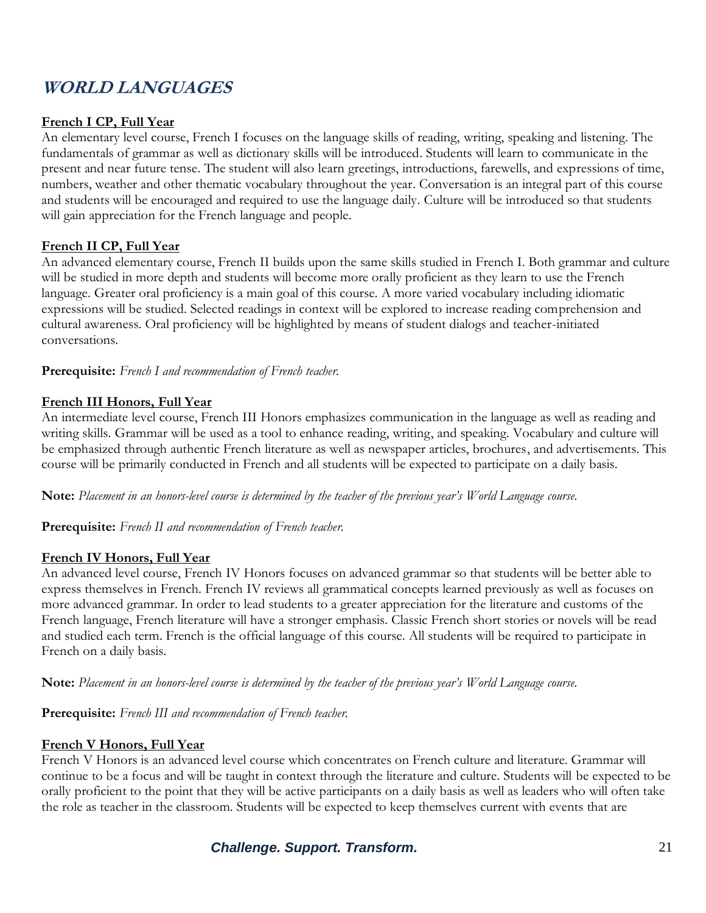# **WORLD LANGUAGES**

#### **French I CP, Full Year**

An elementary level course, French I focuses on the language skills of reading, writing, speaking and listening. The fundamentals of grammar as well as dictionary skills will be introduced. Students will learn to communicate in the present and near future tense. The student will also learn greetings, introductions, farewells, and expressions of time, numbers, weather and other thematic vocabulary throughout the year. Conversation is an integral part of this course and students will be encouraged and required to use the language daily. Culture will be introduced so that students will gain appreciation for the French language and people.

#### **French II CP, Full Year**

An advanced elementary course, French II builds upon the same skills studied in French I. Both grammar and culture will be studied in more depth and students will become more orally proficient as they learn to use the French language. Greater oral proficiency is a main goal of this course. A more varied vocabulary including idiomatic expressions will be studied. Selected readings in context will be explored to increase reading comprehension and cultural awareness. Oral proficiency will be highlighted by means of student dialogs and teacher-initiated conversations.

**Prerequisite:** *French I and recommendation of French teacher.*

#### **French III Honors, Full Year**

An intermediate level course, French III Honors emphasizes communication in the language as well as reading and writing skills. Grammar will be used as a tool to enhance reading, writing, and speaking. Vocabulary and culture will be emphasized through authentic French literature as well as newspaper articles, brochures, and advertisements. This course will be primarily conducted in French and all students will be expected to participate on a daily basis.

**Note:** *Placement in an honors-level course is determined by the teacher of the previous year's World Language course.*

**Prerequisite:** *French II and recommendation of French teacher.*

#### **French IV Honors, Full Year**

An advanced level course, French IV Honors focuses on advanced grammar so that students will be better able to express themselves in French. French IV reviews all grammatical concepts learned previously as well as focuses on more advanced grammar. In order to lead students to a greater appreciation for the literature and customs of the French language, French literature will have a stronger emphasis. Classic French short stories or novels will be read and studied each term. French is the official language of this course. All students will be required to participate in French on a daily basis.

**Note:** *Placement in an honors-level course is determined by the teacher of the previous year's World Language course.*

**Prerequisite:** *French III and recommendation of French teacher.*

#### **French V Honors, Full Year**

French V Honors is an advanced level course which concentrates on French culture and literature. Grammar will continue to be a focus and will be taught in context through the literature and culture. Students will be expected to be orally proficient to the point that they will be active participants on a daily basis as well as leaders who will often take the role as teacher in the classroom. Students will be expected to keep themselves current with events that are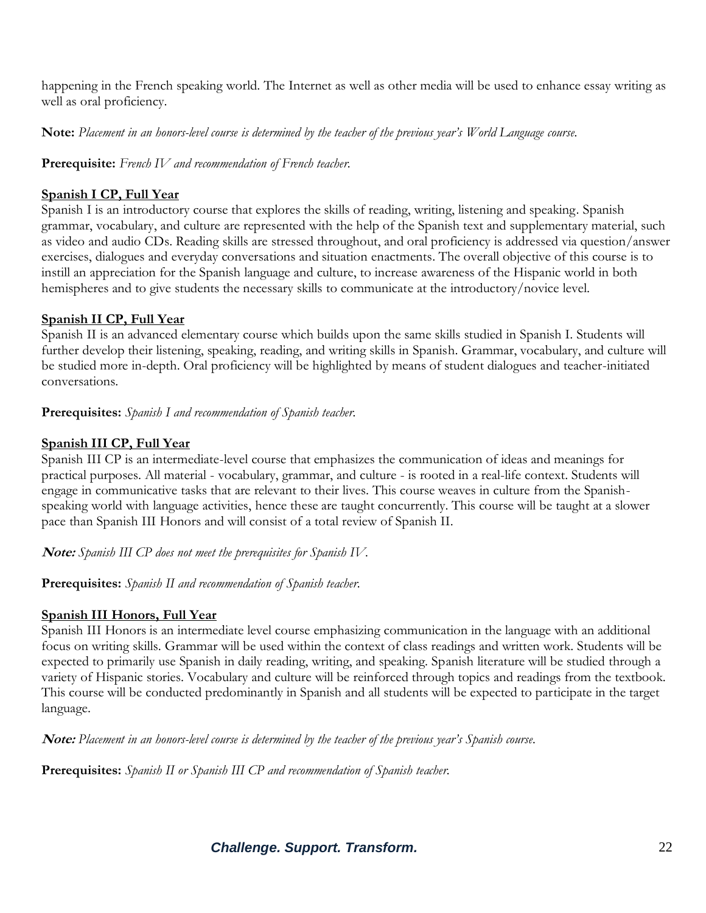happening in the French speaking world. The Internet as well as other media will be used to enhance essay writing as well as oral proficiency.

**Note:** *Placement in an honors-level course is determined by the teacher of the previous year's World Language course.*

**Prerequisite:** *French IV and recommendation of French teacher.*

#### **Spanish I CP, Full Year**

Spanish I is an introductory course that explores the skills of reading, writing, listening and speaking. Spanish grammar, vocabulary, and culture are represented with the help of the Spanish text and supplementary material, such as video and audio CDs. Reading skills are stressed throughout, and oral proficiency is addressed via question/answer exercises, dialogues and everyday conversations and situation enactments. The overall objective of this course is to instill an appreciation for the Spanish language and culture, to increase awareness of the Hispanic world in both hemispheres and to give students the necessary skills to communicate at the introductory/novice level.

### **Spanish II CP, Full Year**

Spanish II is an advanced elementary course which builds upon the same skills studied in Spanish I. Students will further develop their listening, speaking, reading, and writing skills in Spanish. Grammar, vocabulary, and culture will be studied more in-depth. Oral proficiency will be highlighted by means of student dialogues and teacher-initiated conversations.

**Prerequisites:** *Spanish I and recommendation of Spanish teacher.*

# **Spanish III CP, Full Year**

Spanish III CP is an intermediate-level course that emphasizes the communication of ideas and meanings for practical purposes. All material - vocabulary, grammar, and culture - is rooted in a real-life context. Students will engage in communicative tasks that are relevant to their lives. This course weaves in culture from the Spanishspeaking world with language activities, hence these are taught concurrently. This course will be taught at a slower pace than Spanish III Honors and will consist of a total review of Spanish II.

**Note:** *Spanish III CP does not meet the prerequisites for Spanish IV.*

**Prerequisites:** *Spanish II and recommendation of Spanish teacher.*

# **Spanish III Honors, Full Year**

Spanish III Honors is an intermediate level course emphasizing communication in the language with an additional focus on writing skills. Grammar will be used within the context of class readings and written work. Students will be expected to primarily use Spanish in daily reading, writing, and speaking. Spanish literature will be studied through a variety of Hispanic stories. Vocabulary and culture will be reinforced through topics and readings from the textbook. This course will be conducted predominantly in Spanish and all students will be expected to participate in the target language.

**Note:** *Placement in an honors-level course is determined by the teacher of the previous year's Spanish course.*

**Prerequisites:** *Spanish II or Spanish III CP and recommendation of Spanish teacher.*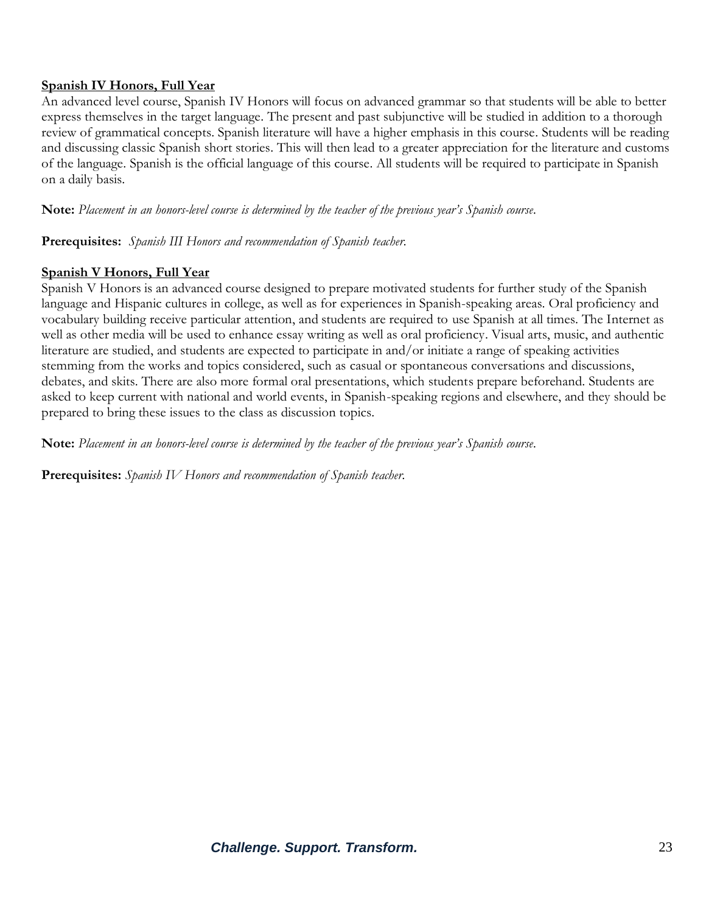#### **Spanish IV Honors, Full Year**

An advanced level course, Spanish IV Honors will focus on advanced grammar so that students will be able to better express themselves in the target language. The present and past subjunctive will be studied in addition to a thorough review of grammatical concepts. Spanish literature will have a higher emphasis in this course. Students will be reading and discussing classic Spanish short stories. This will then lead to a greater appreciation for the literature and customs of the language. Spanish is the official language of this course. All students will be required to participate in Spanish on a daily basis.

**Note:** *Placement in an honors-level course is determined by the teacher of the previous year's Spanish course.*

**Prerequisites:** *Spanish III Honors and recommendation of Spanish teacher.*

#### **Spanish V Honors, Full Year**

Spanish V Honors is an advanced course designed to prepare motivated students for further study of the Spanish language and Hispanic cultures in college, as well as for experiences in Spanish-speaking areas. Oral proficiency and vocabulary building receive particular attention, and students are required to use Spanish at all times. The Internet as well as other media will be used to enhance essay writing as well as oral proficiency. Visual arts, music, and authentic literature are studied, and students are expected to participate in and/or initiate a range of speaking activities stemming from the works and topics considered, such as casual or spontaneous conversations and discussions, debates, and skits. There are also more formal oral presentations, which students prepare beforehand. Students are asked to keep current with national and world events, in Spanish-speaking regions and elsewhere, and they should be prepared to bring these issues to the class as discussion topics.

**Note:** *Placement in an honors-level course is determined by the teacher of the previous year's Spanish course.* 

**Prerequisites:** *Spanish IV Honors and recommendation of Spanish teacher.*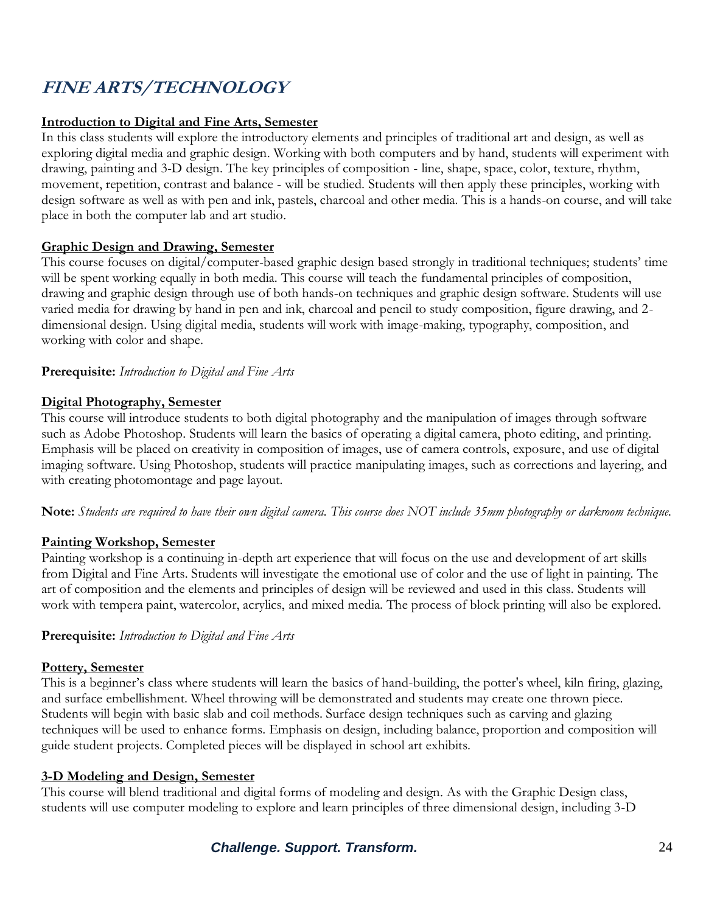# **FINE ARTS/TECHNOLOGY**

#### **Introduction to Digital and Fine Arts, Semester**

In this class students will explore the introductory elements and principles of traditional art and design, as well as exploring digital media and graphic design. Working with both computers and by hand, students will experiment with drawing, painting and 3-D design. The key principles of composition - line, shape, space, color, texture, rhythm, movement, repetition, contrast and balance - will be studied. Students will then apply these principles, working with design software as well as with pen and ink, pastels, charcoal and other media. This is a hands-on course, and will take place in both the computer lab and art studio.

#### **Graphic Design and Drawing, Semester**

This course focuses on digital/computer-based graphic design based strongly in traditional techniques; students' time will be spent working equally in both media. This course will teach the fundamental principles of composition, drawing and graphic design through use of both hands-on techniques and graphic design software. Students will use varied media for drawing by hand in pen and ink, charcoal and pencil to study composition, figure drawing, and 2 dimensional design. Using digital media, students will work with image-making, typography, composition, and working with color and shape.

#### **Prerequisite:** *Introduction to Digital and Fine Arts*

#### **Digital Photography, Semester**

This course will introduce students to both digital photography and the manipulation of images through software such as Adobe Photoshop. Students will learn the basics of operating a digital camera, photo editing, and printing. Emphasis will be placed on creativity in composition of images, use of camera controls, exposure, and use of digital imaging software. Using Photoshop, students will practice manipulating images, such as corrections and layering, and with creating photomontage and page layout.

**Note:** *Students are required to have their own digital camera. This course does NOT include 35mm photography or darkroom technique.*

#### **Painting Workshop, Semester**

Painting workshop is a continuing in-depth art experience that will focus on the use and development of art skills from Digital and Fine Arts. Students will investigate the emotional use of color and the use of light in painting. The art of composition and the elements and principles of design will be reviewed and used in this class. Students will work with tempera paint, watercolor, acrylics, and mixed media. The process of block printing will also be explored.

#### **Prerequisite:** *Introduction to Digital and Fine Arts*

#### **Pottery, Semester**

This is a beginner's class where students will learn the basics of hand-building, the potter's wheel, kiln firing, glazing, and surface embellishment. Wheel throwing will be demonstrated and students may create one thrown piece. Students will begin with basic slab and coil methods. Surface design techniques such as carving and glazing techniques will be used to enhance forms. Emphasis on design, including balance, proportion and composition will guide student projects. Completed pieces will be displayed in school art exhibits.

#### **3-D Modeling and Design, Semester**

This course will blend traditional and digital forms of modeling and design. As with the Graphic Design class, students will use computer modeling to explore and learn principles of three dimensional design, including 3-D

# *Challenge. Support. Transform.* 24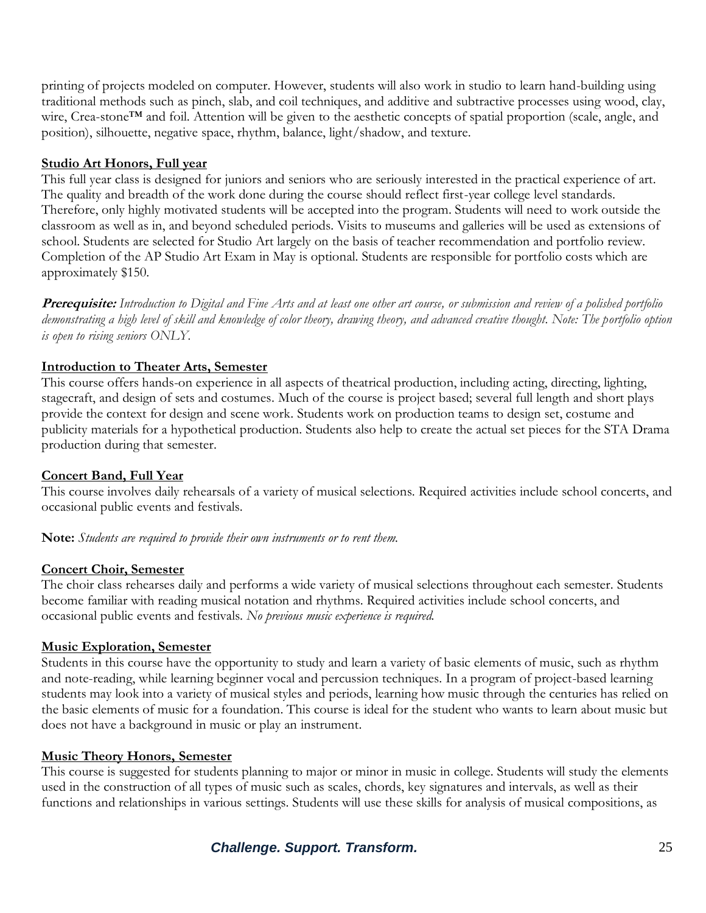printing of projects modeled on computer. However, students will also work in studio to learn hand-building using traditional methods such as pinch, slab, and coil techniques, and additive and subtractive processes using wood, clay, wire, Crea-stone™ and foil. Attention will be given to the aesthetic concepts of spatial proportion (scale, angle, and position), silhouette, negative space, rhythm, balance, light/shadow, and texture.

#### **Studio Art Honors, Full year**

This full year class is designed for juniors and seniors who are seriously interested in the practical experience of art. The quality and breadth of the work done during the course should reflect first-year college level standards. Therefore, only highly motivated students will be accepted into the program. Students will need to work outside the classroom as well as in, and beyond scheduled periods. Visits to museums and galleries will be used as extensions of school. Students are selected for Studio Art largely on the basis of teacher recommendation and portfolio review. Completion of the AP Studio Art Exam in May is optional. Students are responsible for portfolio costs which are approximately \$150.

**Prerequisite:** *Introduction to Digital and Fine Arts and at least one other art course, or submission and review of a polished portfolio demonstrating a high level of skill and knowledge of color theory, drawing theory, and advanced creative thought. Note: The portfolio option is open to rising seniors ONLY.*

#### **Introduction to Theater Arts, Semester**

This course offers hands-on experience in all aspects of theatrical production, including acting, directing, lighting, stagecraft, and design of sets and costumes. Much of the course is project based; several full length and short plays provide the context for design and scene work. Students work on production teams to design set, costume and publicity materials for a hypothetical production. Students also help to create the actual set pieces for the STA Drama production during that semester.

#### **Concert Band, Full Year**

This course involves daily rehearsals of a variety of musical selections. Required activities include school concerts, and occasional public events and festivals.

**Note:** *Students are required to provide their own instruments or to rent them.*

#### **Concert Choir, Semester**

The choir class rehearses daily and performs a wide variety of musical selections throughout each semester. Students become familiar with reading musical notation and rhythms. Required activities include school concerts, and occasional public events and festivals. *No previous music experience is required.*

#### **Music Exploration, Semester**

Students in this course have the opportunity to study and learn a variety of basic elements of music, such as rhythm and note-reading, while learning beginner vocal and percussion techniques. In a program of project-based learning students may look into a variety of musical styles and periods, learning how music through the centuries has relied on the basic elements of music for a foundation. This course is ideal for the student who wants to learn about music but does not have a background in music or play an instrument.

#### **Music Theory Honors, Semester**

This course is suggested for students planning to major or minor in music in college. Students will study the elements used in the construction of all types of music such as scales, chords, key signatures and intervals, as well as their functions and relationships in various settings. Students will use these skills for analysis of musical compositions, as